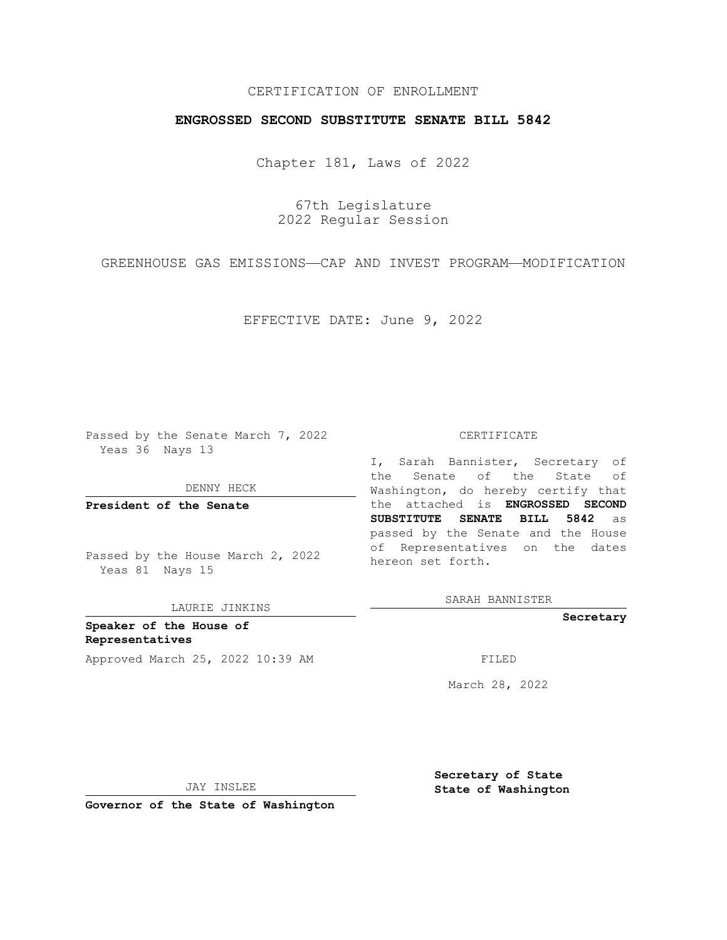# CERTIFICATION OF ENROLLMENT

## **ENGROSSED SECOND SUBSTITUTE SENATE BILL 5842**

Chapter 181, Laws of 2022

67th Legislature 2022 Regular Session

GREENHOUSE GAS EMISSIONS—CAP AND INVEST PROGRAM—MODIFICATION

EFFECTIVE DATE: June 9, 2022

Passed by the Senate March 7, 2022 Yeas 36 Nays 13

DENNY HECK

**President of the Senate**

Passed by the House March 2, 2022 Yeas 81 Nays 15

LAURIE JINKINS

**Speaker of the House of Representatives** Approved March 25, 2022 10:39 AM FILED

#### CERTIFICATE

I, Sarah Bannister, Secretary of the Senate of the State of Washington, do hereby certify that the attached is **ENGROSSED SECOND SUBSTITUTE SENATE BILL 5842** as passed by the Senate and the House of Representatives on the dates hereon set forth.

SARAH BANNISTER

**Secretary**

March 28, 2022

JAY INSLEE

**Secretary of State State of Washington**

**Governor of the State of Washington**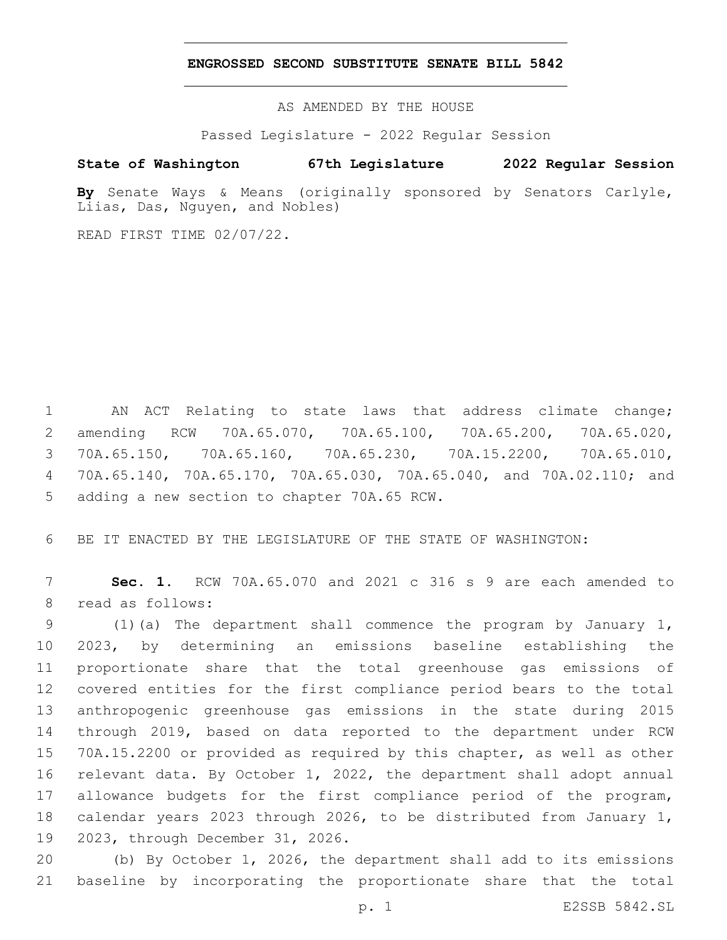### **ENGROSSED SECOND SUBSTITUTE SENATE BILL 5842**

AS AMENDED BY THE HOUSE

Passed Legislature - 2022 Regular Session

# **State of Washington 67th Legislature 2022 Regular Session**

**By** Senate Ways & Means (originally sponsored by Senators Carlyle, Liias, Das, Nguyen, and Nobles)

READ FIRST TIME 02/07/22.

 AN ACT Relating to state laws that address climate change; amending RCW 70A.65.070, 70A.65.100, 70A.65.200, 70A.65.020, 70A.65.150, 70A.65.160, 70A.65.230, 70A.15.2200, 70A.65.010, 70A.65.140, 70A.65.170, 70A.65.030, 70A.65.040, and 70A.02.110; and 5 adding a new section to chapter 70A.65 RCW.

BE IT ENACTED BY THE LEGISLATURE OF THE STATE OF WASHINGTON:

 **Sec. 1.** RCW 70A.65.070 and 2021 c 316 s 9 are each amended to 8 read as follows:

 (1)(a) The department shall commence the program by January 1, 2023, by determining an emissions baseline establishing the proportionate share that the total greenhouse gas emissions of covered entities for the first compliance period bears to the total anthropogenic greenhouse gas emissions in the state during 2015 through 2019, based on data reported to the department under RCW 70A.15.2200 or provided as required by this chapter, as well as other relevant data. By October 1, 2022, the department shall adopt annual allowance budgets for the first compliance period of the program, calendar years 2023 through 2026, to be distributed from January 1, 19 2023, through December 31, 2026.

 (b) By October 1, 2026, the department shall add to its emissions baseline by incorporating the proportionate share that the total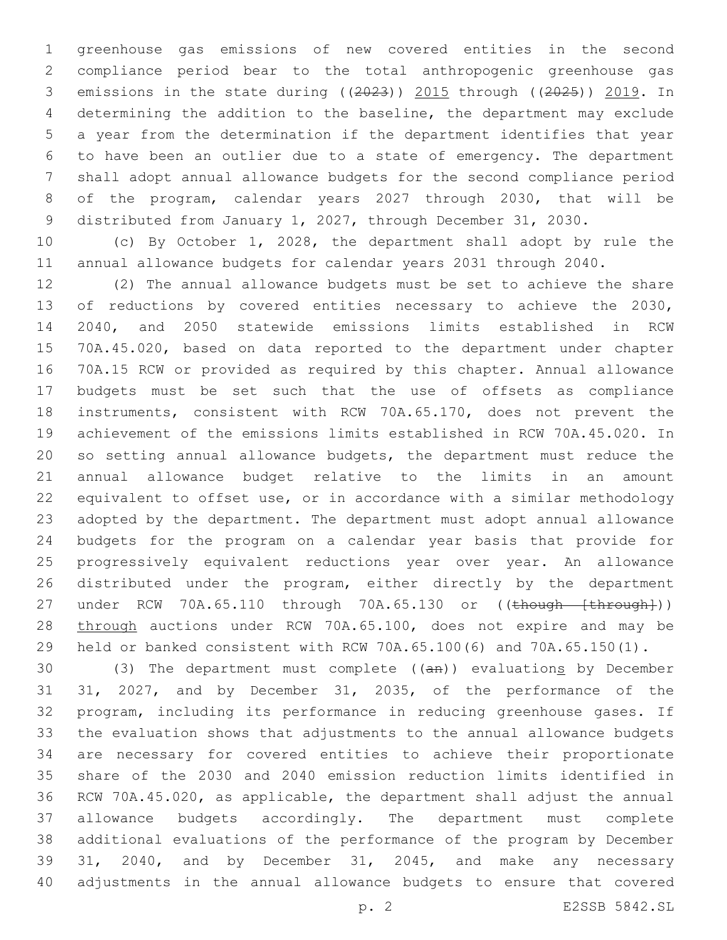greenhouse gas emissions of new covered entities in the second compliance period bear to the total anthropogenic greenhouse gas emissions in the state during ((2023)) 2015 through ((2025)) 2019. In determining the addition to the baseline, the department may exclude a year from the determination if the department identifies that year to have been an outlier due to a state of emergency. The department shall adopt annual allowance budgets for the second compliance period of the program, calendar years 2027 through 2030, that will be distributed from January 1, 2027, through December 31, 2030.

 (c) By October 1, 2028, the department shall adopt by rule the annual allowance budgets for calendar years 2031 through 2040.

 (2) The annual allowance budgets must be set to achieve the share 13 of reductions by covered entities necessary to achieve the 2030, 2040, and 2050 statewide emissions limits established in RCW 70A.45.020, based on data reported to the department under chapter 70A.15 RCW or provided as required by this chapter. Annual allowance budgets must be set such that the use of offsets as compliance instruments, consistent with RCW 70A.65.170, does not prevent the achievement of the emissions limits established in RCW 70A.45.020. In so setting annual allowance budgets, the department must reduce the annual allowance budget relative to the limits in an amount equivalent to offset use, or in accordance with a similar methodology adopted by the department. The department must adopt annual allowance budgets for the program on a calendar year basis that provide for progressively equivalent reductions year over year. An allowance distributed under the program, either directly by the department 27 under RCW 70A.65.110 through 70A.65.130 or ((though [through])) 28 through auctions under RCW 70A.65.100, does not expire and may be held or banked consistent with RCW 70A.65.100(6) and 70A.65.150(1).

 (3) The department must complete ((an)) evaluations by December 31, 2027, and by December 31, 2035, of the performance of the program, including its performance in reducing greenhouse gases. If the evaluation shows that adjustments to the annual allowance budgets are necessary for covered entities to achieve their proportionate share of the 2030 and 2040 emission reduction limits identified in RCW 70A.45.020, as applicable, the department shall adjust the annual allowance budgets accordingly. The department must complete additional evaluations of the performance of the program by December 39 31, 2040, and by December 31, 2045, and make any necessary adjustments in the annual allowance budgets to ensure that covered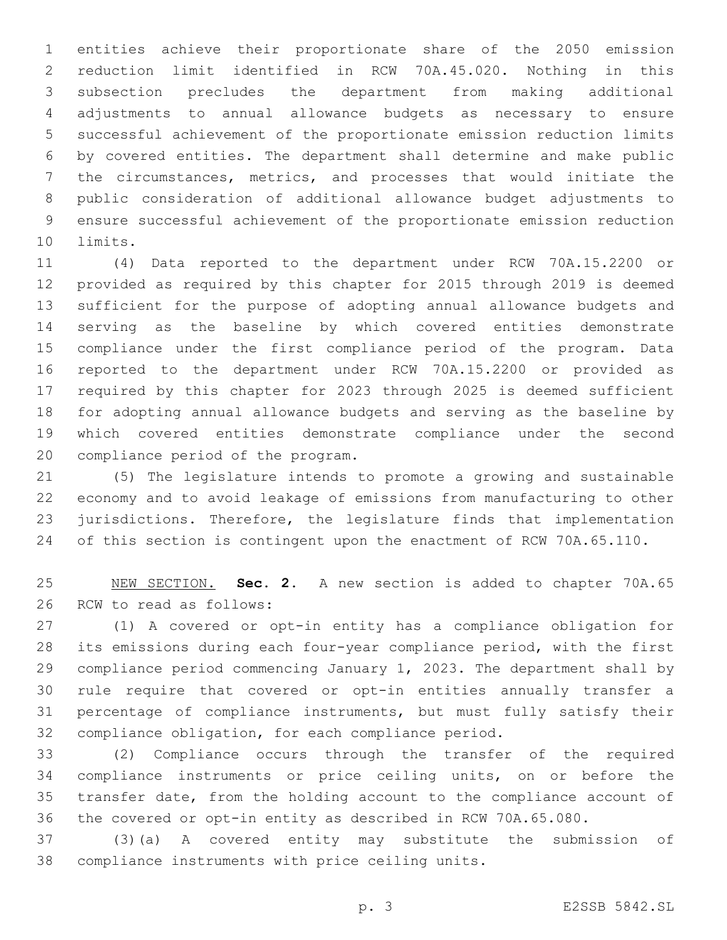entities achieve their proportionate share of the 2050 emission reduction limit identified in RCW 70A.45.020. Nothing in this subsection precludes the department from making additional adjustments to annual allowance budgets as necessary to ensure successful achievement of the proportionate emission reduction limits by covered entities. The department shall determine and make public the circumstances, metrics, and processes that would initiate the public consideration of additional allowance budget adjustments to ensure successful achievement of the proportionate emission reduction 10 limits.

 (4) Data reported to the department under RCW 70A.15.2200 or provided as required by this chapter for 2015 through 2019 is deemed sufficient for the purpose of adopting annual allowance budgets and serving as the baseline by which covered entities demonstrate compliance under the first compliance period of the program. Data reported to the department under RCW 70A.15.2200 or provided as required by this chapter for 2023 through 2025 is deemed sufficient for adopting annual allowance budgets and serving as the baseline by which covered entities demonstrate compliance under the second 20 compliance period of the program.

 (5) The legislature intends to promote a growing and sustainable economy and to avoid leakage of emissions from manufacturing to other jurisdictions. Therefore, the legislature finds that implementation of this section is contingent upon the enactment of RCW 70A.65.110.

 NEW SECTION. **Sec. 2.** A new section is added to chapter 70A.65 26 RCW to read as follows:

 (1) A covered or opt-in entity has a compliance obligation for its emissions during each four-year compliance period, with the first compliance period commencing January 1, 2023. The department shall by rule require that covered or opt-in entities annually transfer a percentage of compliance instruments, but must fully satisfy their compliance obligation, for each compliance period.

 (2) Compliance occurs through the transfer of the required compliance instruments or price ceiling units, on or before the transfer date, from the holding account to the compliance account of the covered or opt-in entity as described in RCW 70A.65.080.

 (3)(a) A covered entity may substitute the submission of 38 compliance instruments with price ceiling units.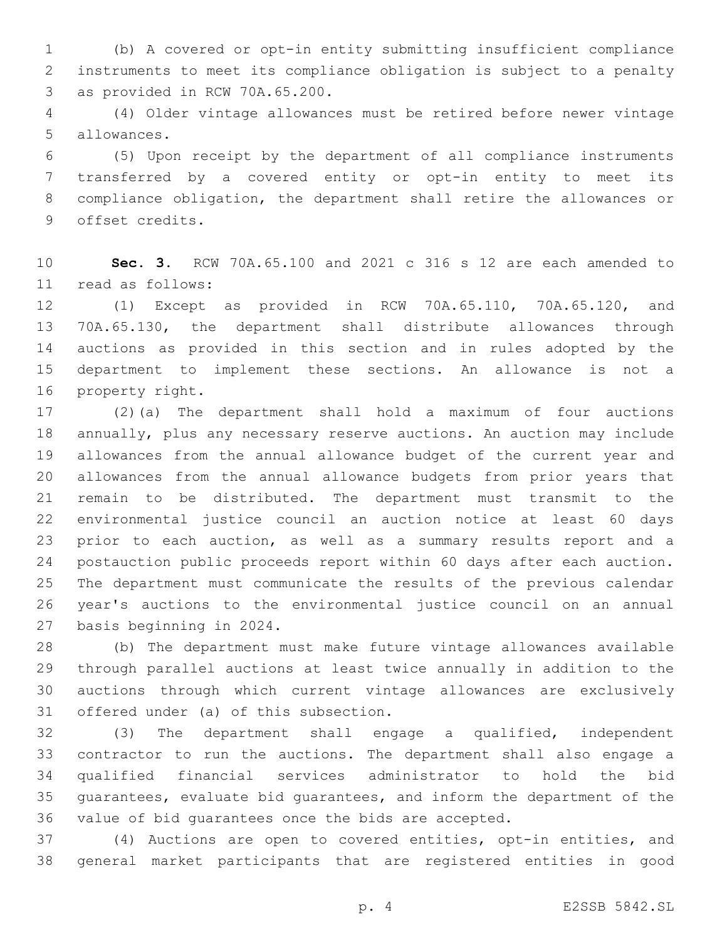(b) A covered or opt-in entity submitting insufficient compliance instruments to meet its compliance obligation is subject to a penalty 3 as provided in RCW 70A.65.200.

 (4) Older vintage allowances must be retired before newer vintage 5 allowances.

 (5) Upon receipt by the department of all compliance instruments transferred by a covered entity or opt-in entity to meet its compliance obligation, the department shall retire the allowances or 9 offset credits.

 **Sec. 3.** RCW 70A.65.100 and 2021 c 316 s 12 are each amended to read as follows:11

 (1) Except as provided in RCW 70A.65.110, 70A.65.120, and 70A.65.130, the department shall distribute allowances through auctions as provided in this section and in rules adopted by the department to implement these sections. An allowance is not a 16 property right.

 (2)(a) The department shall hold a maximum of four auctions annually, plus any necessary reserve auctions. An auction may include allowances from the annual allowance budget of the current year and allowances from the annual allowance budgets from prior years that remain to be distributed. The department must transmit to the environmental justice council an auction notice at least 60 days prior to each auction, as well as a summary results report and a postauction public proceeds report within 60 days after each auction. The department must communicate the results of the previous calendar year's auctions to the environmental justice council on an annual 27 basis beginning in 2024.

 (b) The department must make future vintage allowances available through parallel auctions at least twice annually in addition to the auctions through which current vintage allowances are exclusively 31 offered under (a) of this subsection.

 (3) The department shall engage a qualified, independent contractor to run the auctions. The department shall also engage a qualified financial services administrator to hold the bid guarantees, evaluate bid guarantees, and inform the department of the value of bid guarantees once the bids are accepted.

 (4) Auctions are open to covered entities, opt-in entities, and general market participants that are registered entities in good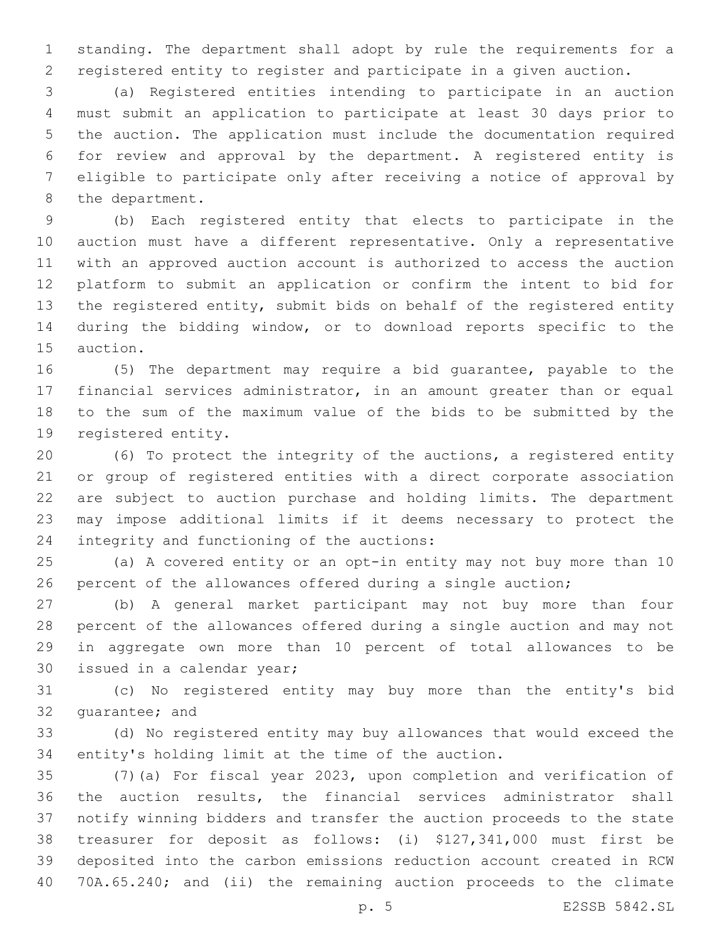standing. The department shall adopt by rule the requirements for a registered entity to register and participate in a given auction.

 (a) Registered entities intending to participate in an auction must submit an application to participate at least 30 days prior to the auction. The application must include the documentation required for review and approval by the department. A registered entity is eligible to participate only after receiving a notice of approval by 8 the department.

 (b) Each registered entity that elects to participate in the auction must have a different representative. Only a representative with an approved auction account is authorized to access the auction platform to submit an application or confirm the intent to bid for the registered entity, submit bids on behalf of the registered entity during the bidding window, or to download reports specific to the 15 auction.

 (5) The department may require a bid guarantee, payable to the financial services administrator, in an amount greater than or equal to the sum of the maximum value of the bids to be submitted by the 19 registered entity.

 (6) To protect the integrity of the auctions, a registered entity or group of registered entities with a direct corporate association are subject to auction purchase and holding limits. The department may impose additional limits if it deems necessary to protect the 24 integrity and functioning of the auctions:

 (a) A covered entity or an opt-in entity may not buy more than 10 percent of the allowances offered during a single auction;

 (b) A general market participant may not buy more than four percent of the allowances offered during a single auction and may not in aggregate own more than 10 percent of total allowances to be 30 issued in a calendar year;

 (c) No registered entity may buy more than the entity's bid 32 quarantee; and

 (d) No registered entity may buy allowances that would exceed the entity's holding limit at the time of the auction.

 (7)(a) For fiscal year 2023, upon completion and verification of the auction results, the financial services administrator shall notify winning bidders and transfer the auction proceeds to the state treasurer for deposit as follows: (i) \$127,341,000 must first be deposited into the carbon emissions reduction account created in RCW 70A.65.240; and (ii) the remaining auction proceeds to the climate

p. 5 E2SSB 5842.SL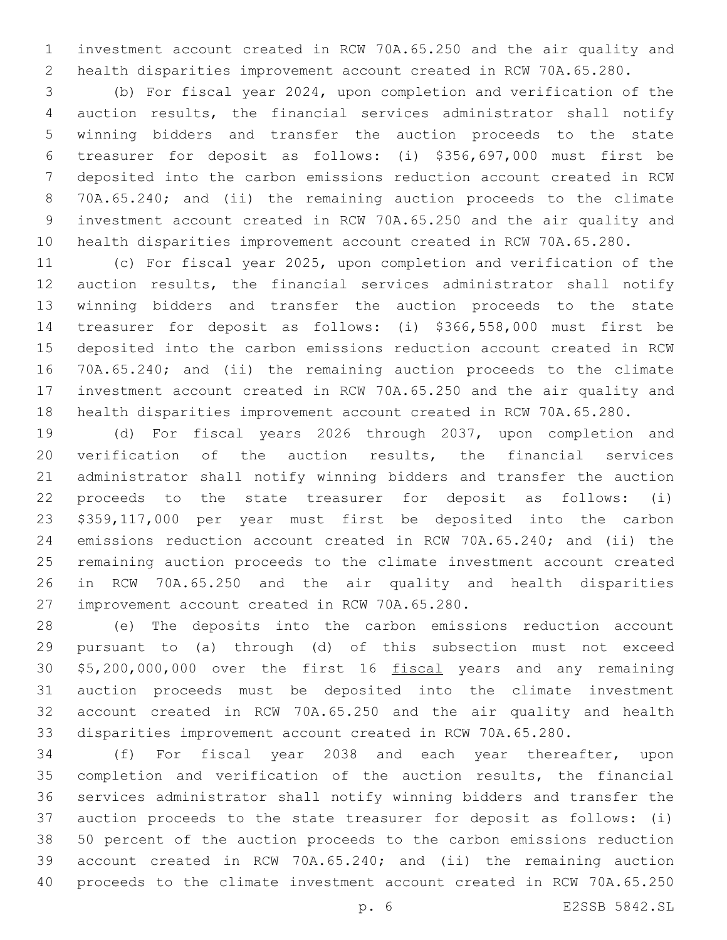investment account created in RCW 70A.65.250 and the air quality and health disparities improvement account created in RCW 70A.65.280.

 (b) For fiscal year 2024, upon completion and verification of the auction results, the financial services administrator shall notify winning bidders and transfer the auction proceeds to the state treasurer for deposit as follows: (i) \$356,697,000 must first be deposited into the carbon emissions reduction account created in RCW 70A.65.240; and (ii) the remaining auction proceeds to the climate investment account created in RCW 70A.65.250 and the air quality and health disparities improvement account created in RCW 70A.65.280.

 (c) For fiscal year 2025, upon completion and verification of the auction results, the financial services administrator shall notify winning bidders and transfer the auction proceeds to the state treasurer for deposit as follows: (i) \$366,558,000 must first be deposited into the carbon emissions reduction account created in RCW 70A.65.240; and (ii) the remaining auction proceeds to the climate investment account created in RCW 70A.65.250 and the air quality and health disparities improvement account created in RCW 70A.65.280.

 (d) For fiscal years 2026 through 2037, upon completion and verification of the auction results, the financial services administrator shall notify winning bidders and transfer the auction proceeds to the state treasurer for deposit as follows: (i) \$359,117,000 per year must first be deposited into the carbon emissions reduction account created in RCW 70A.65.240; and (ii) the remaining auction proceeds to the climate investment account created in RCW 70A.65.250 and the air quality and health disparities 27 improvement account created in RCW 70A.65.280.

 (e) The deposits into the carbon emissions reduction account pursuant to (a) through (d) of this subsection must not exceed \$5,200,000,000 over the first 16 fiscal years and any remaining auction proceeds must be deposited into the climate investment account created in RCW 70A.65.250 and the air quality and health disparities improvement account created in RCW 70A.65.280.

 (f) For fiscal year 2038 and each year thereafter, upon completion and verification of the auction results, the financial services administrator shall notify winning bidders and transfer the auction proceeds to the state treasurer for deposit as follows: (i) 50 percent of the auction proceeds to the carbon emissions reduction account created in RCW 70A.65.240; and (ii) the remaining auction proceeds to the climate investment account created in RCW 70A.65.250

p. 6 E2SSB 5842.SL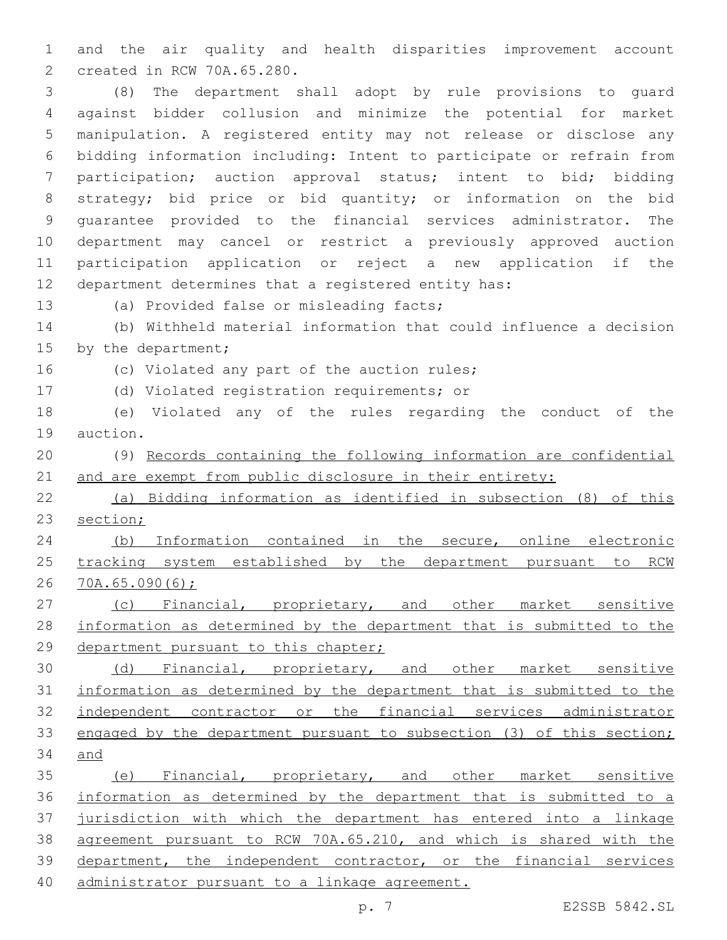and the air quality and health disparities improvement account 2 created in RCW 70A.65.280.

 (8) The department shall adopt by rule provisions to guard against bidder collusion and minimize the potential for market manipulation. A registered entity may not release or disclose any bidding information including: Intent to participate or refrain from participation; auction approval status; intent to bid; bidding strategy; bid price or bid quantity; or information on the bid guarantee provided to the financial services administrator. The department may cancel or restrict a previously approved auction participation application or reject a new application if the department determines that a registered entity has:

13 (a) Provided false or misleading facts;

 (b) Withheld material information that could influence a decision 15 by the department;

16 (c) Violated any part of the auction rules;

17 (d) Violated registration requirements; or

 (e) Violated any of the rules regarding the conduct of the 19 auction.

 (9) Records containing the following information are confidential 21 and are exempt from public disclosure in their entirety:

 (a) Bidding information as identified in subsection (8) of this section;

 (b) Information contained in the secure, online electronic tracking system established by the department pursuant to RCW 70A.65.090(6);

27 (c) Financial, proprietary, and other market sensitive information as determined by the department that is submitted to the 29 department pursuant to this chapter;

 (d) Financial, proprietary, and other market sensitive information as determined by the department that is submitted to the independent contractor or the financial services administrator engaged by the department pursuant to subsection (3) of this section; and

 (e) Financial, proprietary, and other market sensitive information as determined by the department that is submitted to a jurisdiction with which the department has entered into a linkage agreement pursuant to RCW 70A.65.210, and which is shared with the department, the independent contractor, or the financial services administrator pursuant to a linkage agreement.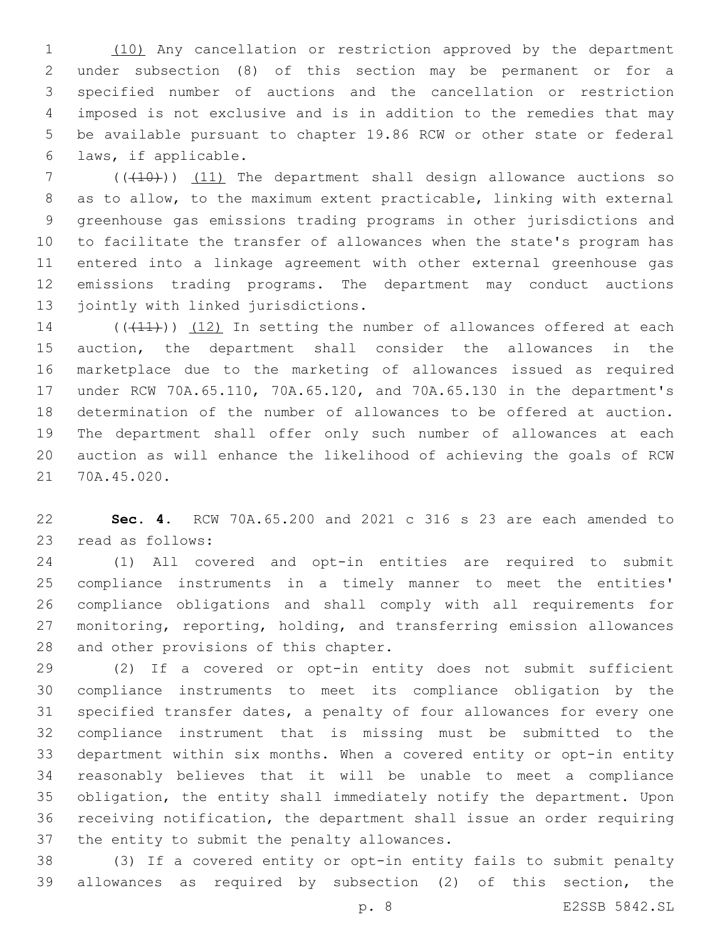(10) Any cancellation or restriction approved by the department under subsection (8) of this section may be permanent or for a specified number of auctions and the cancellation or restriction imposed is not exclusive and is in addition to the remedies that may be available pursuant to chapter 19.86 RCW or other state or federal laws, if applicable.6

7 (( $(40)$ )) (11) The department shall design allowance auctions so as to allow, to the maximum extent practicable, linking with external greenhouse gas emissions trading programs in other jurisdictions and to facilitate the transfer of allowances when the state's program has entered into a linkage agreement with other external greenhouse gas emissions trading programs. The department may conduct auctions 13 jointly with linked jurisdictions.

14 (((41))) (12) In setting the number of allowances offered at each auction, the department shall consider the allowances in the marketplace due to the marketing of allowances issued as required under RCW 70A.65.110, 70A.65.120, and 70A.65.130 in the department's determination of the number of allowances to be offered at auction. The department shall offer only such number of allowances at each auction as will enhance the likelihood of achieving the goals of RCW 21 70A.45.020.

 **Sec. 4.** RCW 70A.65.200 and 2021 c 316 s 23 are each amended to 23 read as follows:

 (1) All covered and opt-in entities are required to submit compliance instruments in a timely manner to meet the entities' compliance obligations and shall comply with all requirements for monitoring, reporting, holding, and transferring emission allowances 28 and other provisions of this chapter.

 (2) If a covered or opt-in entity does not submit sufficient compliance instruments to meet its compliance obligation by the specified transfer dates, a penalty of four allowances for every one compliance instrument that is missing must be submitted to the department within six months. When a covered entity or opt-in entity reasonably believes that it will be unable to meet a compliance obligation, the entity shall immediately notify the department. Upon receiving notification, the department shall issue an order requiring 37 the entity to submit the penalty allowances.

 (3) If a covered entity or opt-in entity fails to submit penalty allowances as required by subsection (2) of this section, the

p. 8 E2SSB 5842.SL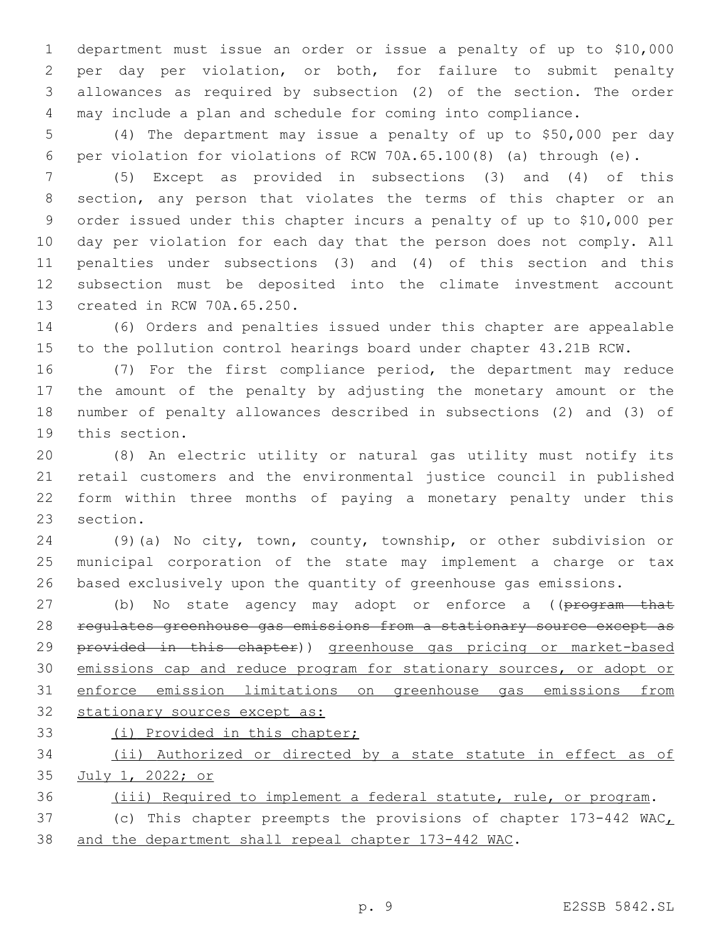department must issue an order or issue a penalty of up to \$10,000 per day per violation, or both, for failure to submit penalty allowances as required by subsection (2) of the section. The order may include a plan and schedule for coming into compliance.

 (4) The department may issue a penalty of up to \$50,000 per day per violation for violations of RCW 70A.65.100(8) (a) through (e).

 (5) Except as provided in subsections (3) and (4) of this section, any person that violates the terms of this chapter or an order issued under this chapter incurs a penalty of up to \$10,000 per day per violation for each day that the person does not comply. All penalties under subsections (3) and (4) of this section and this subsection must be deposited into the climate investment account 13 created in RCW 70A.65.250.

 (6) Orders and penalties issued under this chapter are appealable to the pollution control hearings board under chapter 43.21B RCW.

 (7) For the first compliance period, the department may reduce the amount of the penalty by adjusting the monetary amount or the number of penalty allowances described in subsections (2) and (3) of 19 this section.

 (8) An electric utility or natural gas utility must notify its retail customers and the environmental justice council in published form within three months of paying a monetary penalty under this 23 section.

 (9)(a) No city, town, county, township, or other subdivision or municipal corporation of the state may implement a charge or tax based exclusively upon the quantity of greenhouse gas emissions.

27 (b) No state agency may adopt or enforce a ((program that regulates greenhouse gas emissions from a stationary source except as provided in this chapter)) greenhouse gas pricing or market-based emissions cap and reduce program for stationary sources, or adopt or enforce emission limitations on greenhouse gas emissions from stationary sources except as:

(i) Provided in this chapter;

 (ii) Authorized or directed by a state statute in effect as of July 1, 2022; or

(iii) Required to implement a federal statute, rule, or program.

 (c) This chapter preempts the provisions of chapter 173-442 WAC, and the department shall repeal chapter 173-442 WAC.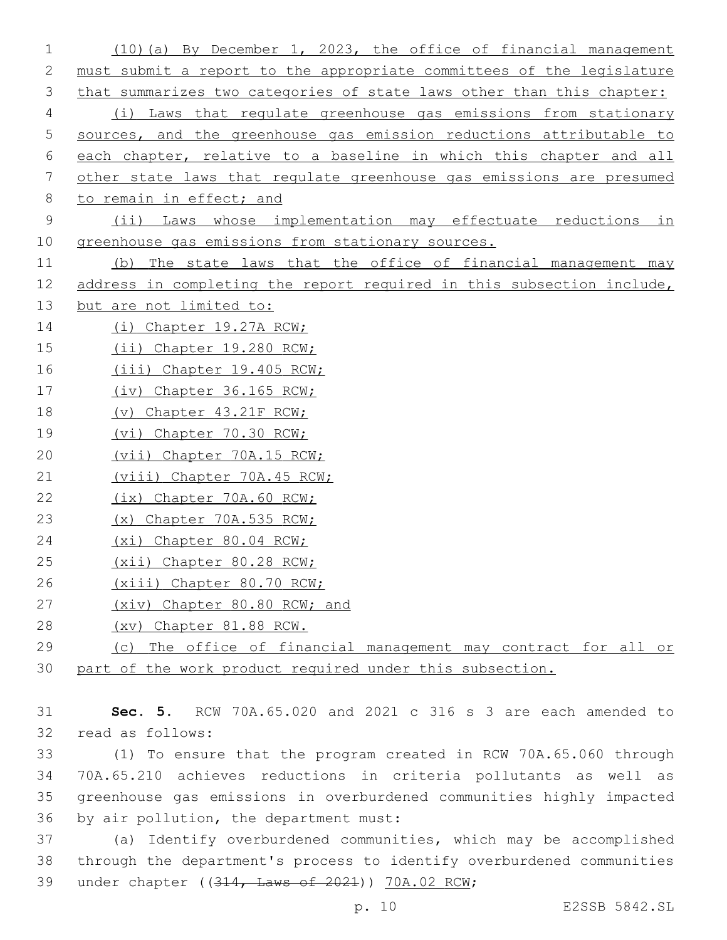| 1  | (10) (a) By December 1, 2023, the office of financial management      |
|----|-----------------------------------------------------------------------|
| 2  | must submit a report to the appropriate committees of the legislature |
| 3  | that summarizes two categories of state laws other than this chapter: |
| 4  | (i) Laws that requlate greenhouse gas emissions from stationary       |
| 5  | sources, and the greenhouse gas emission reductions attributable to   |
| 6  | each chapter, relative to a baseline in which this chapter and all    |
| 7  | other state laws that regulate greenhouse gas emissions are presumed  |
| 8  | to remain in effect; and                                              |
| 9  | (ii) Laws whose implementation may effectuate reductions in           |
| 10 | greenhouse gas emissions from stationary sources.                     |
| 11 | (b) The state laws that the office of financial management may        |
| 12 | address in completing the report required in this subsection include, |
| 13 | but are not limited to:                                               |
| 14 | $(i)$ Chapter 19.27A RCW;                                             |
| 15 | (ii) Chapter 19.280 RCW;                                              |
| 16 | (iii) Chapter 19.405 RCW;                                             |
| 17 | (iv) Chapter 36.165 RCW;                                              |
| 18 | $(v)$ Chapter 43.21F RCW;                                             |
| 19 | (vi) Chapter 70.30 RCW;                                               |
| 20 | (vii) Chapter 70A.15 RCW;                                             |
| 21 | (viii) Chapter 70A.45 RCW;                                            |
| 22 | (ix) Chapter 70A.60 RCW;                                              |
| 23 | (x) Chapter 70A.535 RCW;                                              |
| 24 | (xi) Chapter 80.04 RCW;                                               |
| 25 | (xii) Chapter 80.28 RCW;                                              |
| 26 | (xiii) Chapter 80.70 RCW;                                             |
| 27 | (xiv) Chapter 80.80 RCW; and                                          |
| 28 | (xv) Chapter 81.88 RCW.                                               |
| 29 | The office of financial management may contract for all or<br>(C)     |
| 30 | part of the work product required under this subsection.              |

 **Sec. 5.** RCW 70A.65.020 and 2021 c 316 s 3 are each amended to 32 read as follows:

 (1) To ensure that the program created in RCW 70A.65.060 through 70A.65.210 achieves reductions in criteria pollutants as well as greenhouse gas emissions in overburdened communities highly impacted 36 by air pollution, the department must:

 (a) Identify overburdened communities, which may be accomplished through the department's process to identify overburdened communities 39 under chapter ((314, Laws of 2021)) 70A.02 RCW;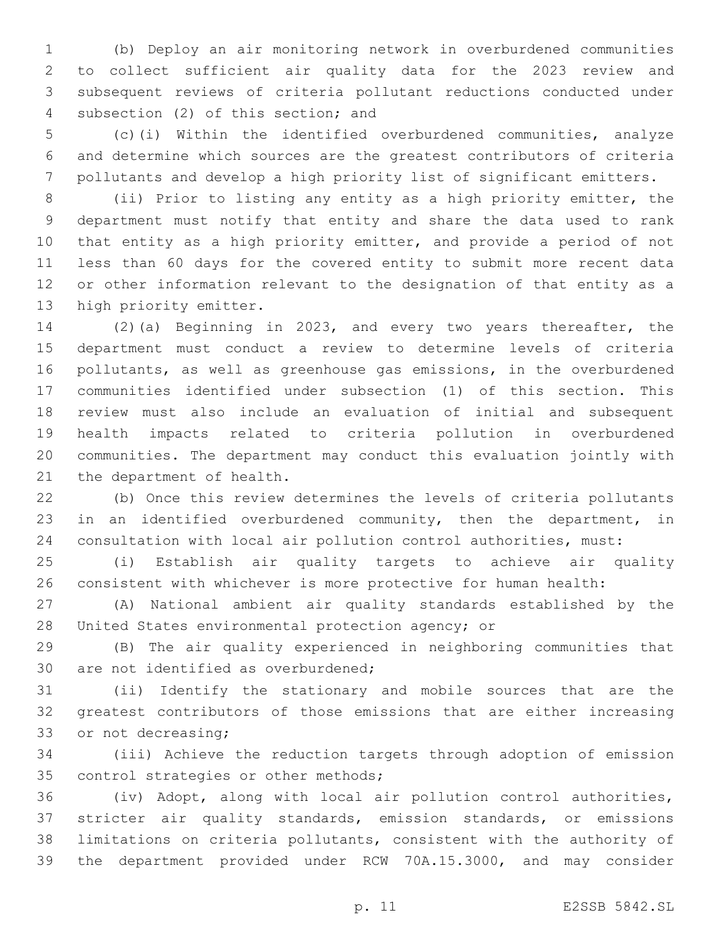(b) Deploy an air monitoring network in overburdened communities to collect sufficient air quality data for the 2023 review and subsequent reviews of criteria pollutant reductions conducted under 4 subsection (2) of this section; and

 (c)(i) Within the identified overburdened communities, analyze and determine which sources are the greatest contributors of criteria pollutants and develop a high priority list of significant emitters.

 (ii) Prior to listing any entity as a high priority emitter, the department must notify that entity and share the data used to rank 10 that entity as a high priority emitter, and provide a period of not less than 60 days for the covered entity to submit more recent data or other information relevant to the designation of that entity as a 13 high priority emitter.

 (2)(a) Beginning in 2023, and every two years thereafter, the department must conduct a review to determine levels of criteria pollutants, as well as greenhouse gas emissions, in the overburdened communities identified under subsection (1) of this section. This review must also include an evaluation of initial and subsequent health impacts related to criteria pollution in overburdened communities. The department may conduct this evaluation jointly with 21 the department of health.

 (b) Once this review determines the levels of criteria pollutants in an identified overburdened community, then the department, in consultation with local air pollution control authorities, must:

 (i) Establish air quality targets to achieve air quality consistent with whichever is more protective for human health:

 (A) National ambient air quality standards established by the 28 United States environmental protection agency; or

 (B) The air quality experienced in neighboring communities that 30 are not identified as overburdened;

 (ii) Identify the stationary and mobile sources that are the greatest contributors of those emissions that are either increasing 33 or not decreasing;

 (iii) Achieve the reduction targets through adoption of emission 35 control strategies or other methods;

 (iv) Adopt, along with local air pollution control authorities, stricter air quality standards, emission standards, or emissions limitations on criteria pollutants, consistent with the authority of the department provided under RCW 70A.15.3000, and may consider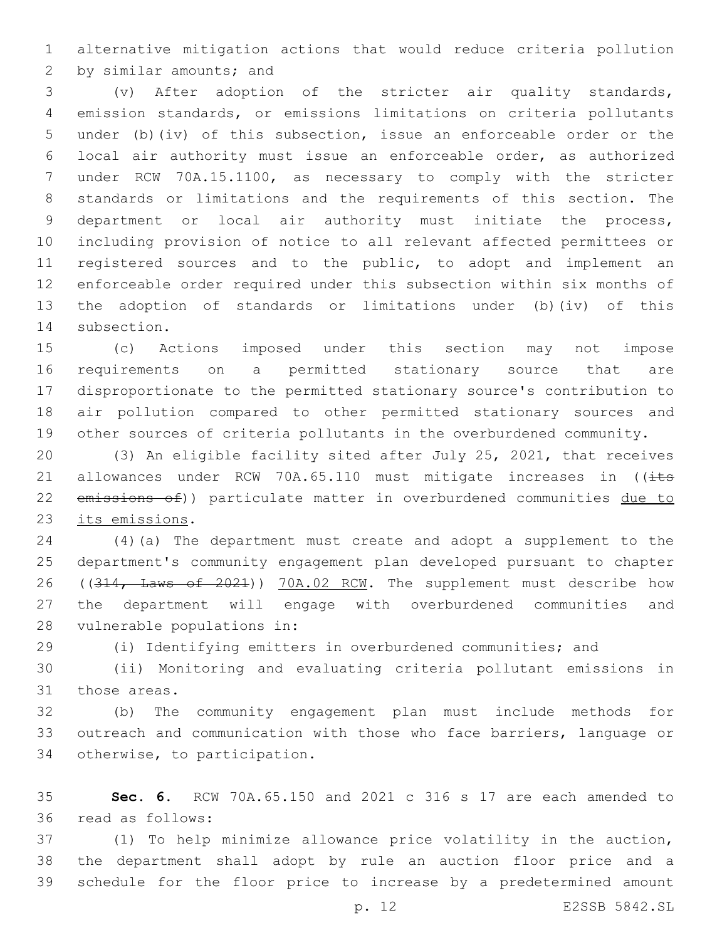alternative mitigation actions that would reduce criteria pollution 2 by similar amounts; and

 (v) After adoption of the stricter air quality standards, emission standards, or emissions limitations on criteria pollutants under (b)(iv) of this subsection, issue an enforceable order or the local air authority must issue an enforceable order, as authorized under RCW 70A.15.1100, as necessary to comply with the stricter standards or limitations and the requirements of this section. The department or local air authority must initiate the process, including provision of notice to all relevant affected permittees or registered sources and to the public, to adopt and implement an enforceable order required under this subsection within six months of the adoption of standards or limitations under (b)(iv) of this 14 subsection.

 (c) Actions imposed under this section may not impose requirements on a permitted stationary source that are disproportionate to the permitted stationary source's contribution to air pollution compared to other permitted stationary sources and other sources of criteria pollutants in the overburdened community.

 (3) An eligible facility sited after July 25, 2021, that receives 21 allowances under RCW 70A.65.110 must mitigate increases in  $($  (its 22 emissions of)) particulate matter in overburdened communities due to 23 its emissions.

 (4)(a) The department must create and adopt a supplement to the department's community engagement plan developed pursuant to chapter 26 ((314, Laws of 2021)) 70A.02 RCW. The supplement must describe how the department will engage with overburdened communities and 28 vulnerable populations in:

(i) Identifying emitters in overburdened communities; and

 (ii) Monitoring and evaluating criteria pollutant emissions in 31 those areas.

 (b) The community engagement plan must include methods for outreach and communication with those who face barriers, language or 34 otherwise, to participation.

 **Sec. 6.** RCW 70A.65.150 and 2021 c 316 s 17 are each amended to read as follows:36

 (1) To help minimize allowance price volatility in the auction, the department shall adopt by rule an auction floor price and a schedule for the floor price to increase by a predetermined amount

p. 12 E2SSB 5842.SL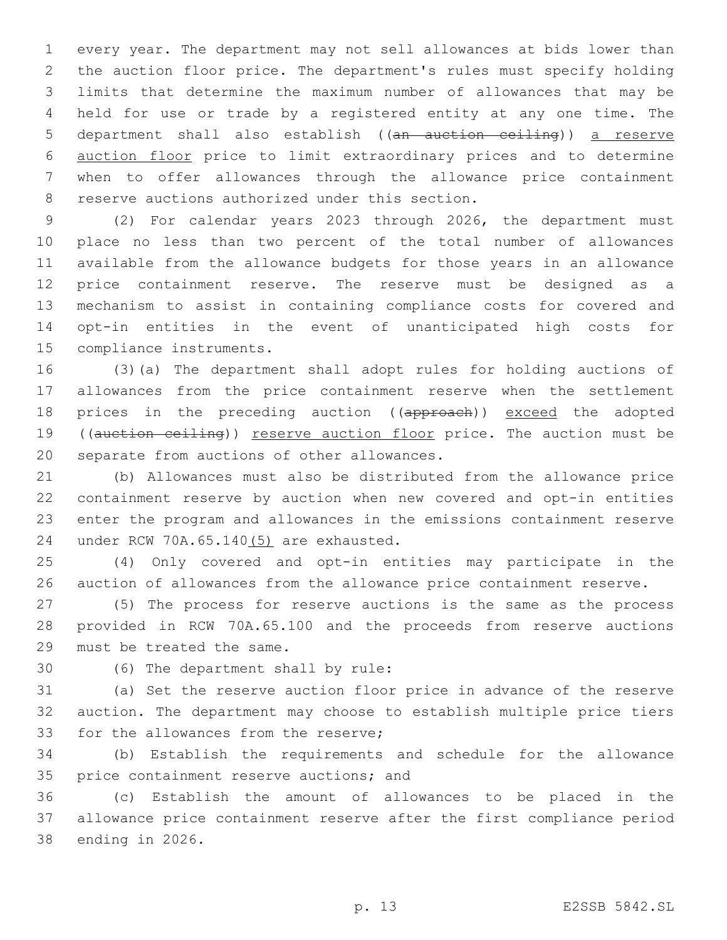every year. The department may not sell allowances at bids lower than the auction floor price. The department's rules must specify holding limits that determine the maximum number of allowances that may be held for use or trade by a registered entity at any one time. The department shall also establish ((an auction ceiling)) a reserve auction floor price to limit extraordinary prices and to determine when to offer allowances through the allowance price containment 8 reserve auctions authorized under this section.

 (2) For calendar years 2023 through 2026, the department must place no less than two percent of the total number of allowances available from the allowance budgets for those years in an allowance price containment reserve. The reserve must be designed as a mechanism to assist in containing compliance costs for covered and opt-in entities in the event of unanticipated high costs for 15 compliance instruments.

 (3)(a) The department shall adopt rules for holding auctions of allowances from the price containment reserve when the settlement 18 prices in the preceding auction ((approach)) exceed the adopted 19 ((auction ceiling)) reserve auction floor price. The auction must be 20 separate from auctions of other allowances.

 (b) Allowances must also be distributed from the allowance price containment reserve by auction when new covered and opt-in entities enter the program and allowances in the emissions containment reserve 24 under RCW 70A.65.140(5) are exhausted.

 (4) Only covered and opt-in entities may participate in the auction of allowances from the allowance price containment reserve.

 (5) The process for reserve auctions is the same as the process provided in RCW 70A.65.100 and the proceeds from reserve auctions 29 must be treated the same.

30 (6) The department shall by rule:

 (a) Set the reserve auction floor price in advance of the reserve auction. The department may choose to establish multiple price tiers 33 for the allowances from the reserve;

 (b) Establish the requirements and schedule for the allowance 35 price containment reserve auctions; and

 (c) Establish the amount of allowances to be placed in the allowance price containment reserve after the first compliance period 38 ending in 2026.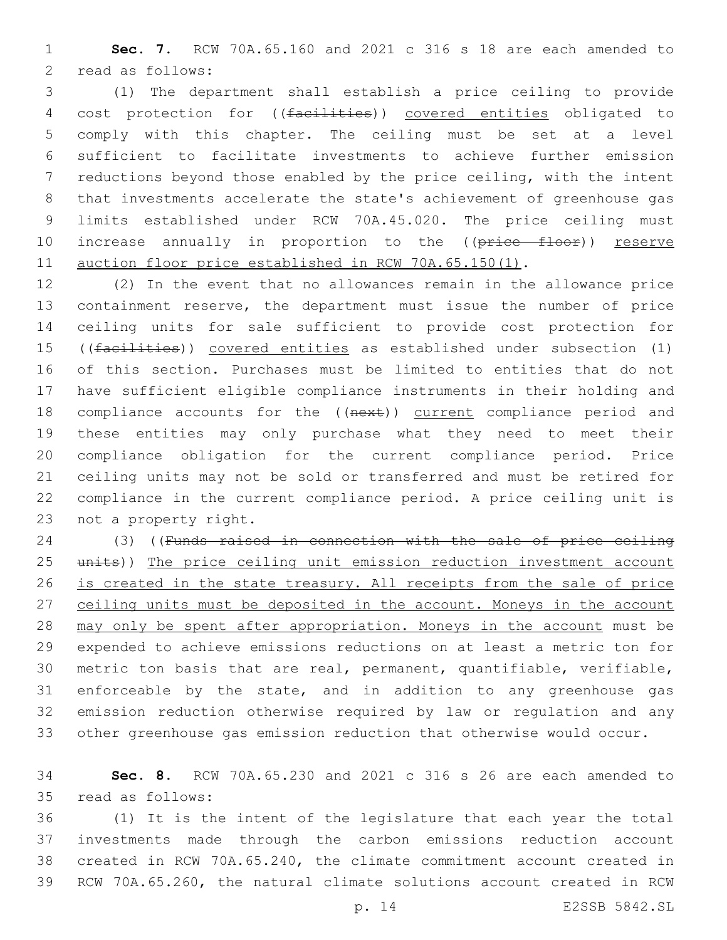**Sec. 7.** RCW 70A.65.160 and 2021 c 316 s 18 are each amended to 2 read as follows:

 (1) The department shall establish a price ceiling to provide 4 cost protection for ((facilities)) covered entities obligated to comply with this chapter. The ceiling must be set at a level sufficient to facilitate investments to achieve further emission reductions beyond those enabled by the price ceiling, with the intent that investments accelerate the state's achievement of greenhouse gas limits established under RCW 70A.45.020. The price ceiling must 10 increase annually in proportion to the ((price floor)) reserve 11 auction floor price established in RCW 70A.65.150(1).

 (2) In the event that no allowances remain in the allowance price containment reserve, the department must issue the number of price ceiling units for sale sufficient to provide cost protection for ((facilities)) covered entities as established under subsection (1) of this section. Purchases must be limited to entities that do not have sufficient eligible compliance instruments in their holding and 18 compliance accounts for the ((next)) current compliance period and these entities may only purchase what they need to meet their compliance obligation for the current compliance period. Price ceiling units may not be sold or transferred and must be retired for compliance in the current compliance period. A price ceiling unit is 23 not a property right.

 (3) ((Funds raised in connection with the sale of price ceiling 25 units)) The price ceiling unit emission reduction investment account is created in the state treasury. All receipts from the sale of price 27 ceiling units must be deposited in the account. Moneys in the account 28 may only be spent after appropriation. Moneys in the account must be expended to achieve emissions reductions on at least a metric ton for metric ton basis that are real, permanent, quantifiable, verifiable, enforceable by the state, and in addition to any greenhouse gas emission reduction otherwise required by law or regulation and any other greenhouse gas emission reduction that otherwise would occur.

 **Sec. 8.** RCW 70A.65.230 and 2021 c 316 s 26 are each amended to 35 read as follows:

 (1) It is the intent of the legislature that each year the total investments made through the carbon emissions reduction account created in RCW 70A.65.240, the climate commitment account created in RCW 70A.65.260, the natural climate solutions account created in RCW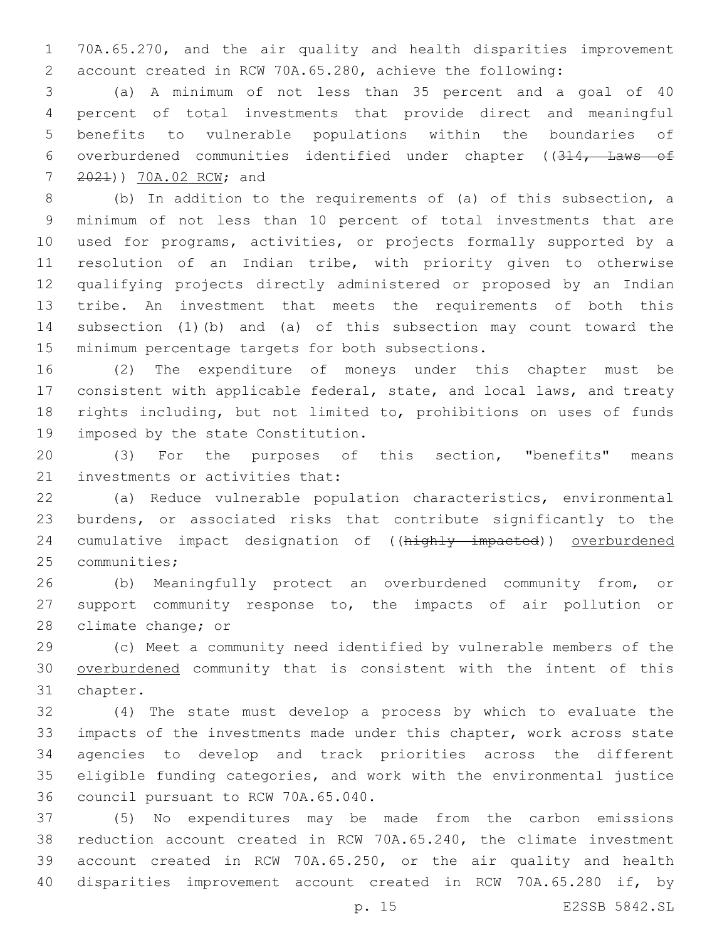70A.65.270, and the air quality and health disparities improvement account created in RCW 70A.65.280, achieve the following:

 (a) A minimum of not less than 35 percent and a goal of 40 percent of total investments that provide direct and meaningful benefits to vulnerable populations within the boundaries of overburdened communities identified under chapter ((314, Laws of 7 2021)) 70A.02 RCW; and

 (b) In addition to the requirements of (a) of this subsection, a minimum of not less than 10 percent of total investments that are used for programs, activities, or projects formally supported by a resolution of an Indian tribe, with priority given to otherwise qualifying projects directly administered or proposed by an Indian tribe. An investment that meets the requirements of both this subsection (1)(b) and (a) of this subsection may count toward the 15 minimum percentage targets for both subsections.

 (2) The expenditure of moneys under this chapter must be consistent with applicable federal, state, and local laws, and treaty rights including, but not limited to, prohibitions on uses of funds 19 imposed by the state Constitution.

 (3) For the purposes of this section, "benefits" means 21 investments or activities that:

 (a) Reduce vulnerable population characteristics, environmental burdens, or associated risks that contribute significantly to the 24 cumulative impact designation of ((highly impacted)) overburdened 25 communities;

 (b) Meaningfully protect an overburdened community from, or support community response to, the impacts of air pollution or 28 climate change; or

 (c) Meet a community need identified by vulnerable members of the overburdened community that is consistent with the intent of this 31 chapter.

 (4) The state must develop a process by which to evaluate the impacts of the investments made under this chapter, work across state agencies to develop and track priorities across the different eligible funding categories, and work with the environmental justice 36 council pursuant to RCW 70A.65.040.

 (5) No expenditures may be made from the carbon emissions reduction account created in RCW 70A.65.240, the climate investment account created in RCW 70A.65.250, or the air quality and health disparities improvement account created in RCW 70A.65.280 if, by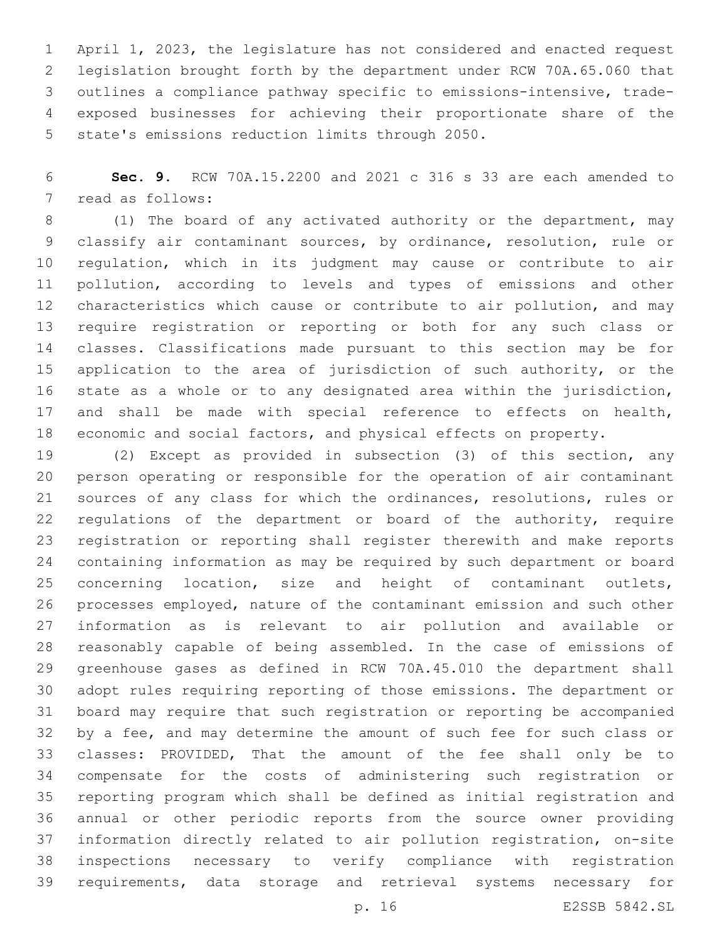April 1, 2023, the legislature has not considered and enacted request legislation brought forth by the department under RCW 70A.65.060 that outlines a compliance pathway specific to emissions-intensive, trade- exposed businesses for achieving their proportionate share of the 5 state's emissions reduction limits through 2050.

 **Sec. 9.** RCW 70A.15.2200 and 2021 c 316 s 33 are each amended to 7 read as follows:

 (1) The board of any activated authority or the department, may classify air contaminant sources, by ordinance, resolution, rule or regulation, which in its judgment may cause or contribute to air pollution, according to levels and types of emissions and other characteristics which cause or contribute to air pollution, and may require registration or reporting or both for any such class or classes. Classifications made pursuant to this section may be for 15 application to the area of jurisdiction of such authority, or the state as a whole or to any designated area within the jurisdiction, and shall be made with special reference to effects on health, economic and social factors, and physical effects on property.

 (2) Except as provided in subsection (3) of this section, any person operating or responsible for the operation of air contaminant sources of any class for which the ordinances, resolutions, rules or regulations of the department or board of the authority, require registration or reporting shall register therewith and make reports containing information as may be required by such department or board concerning location, size and height of contaminant outlets, processes employed, nature of the contaminant emission and such other information as is relevant to air pollution and available or reasonably capable of being assembled. In the case of emissions of greenhouse gases as defined in RCW 70A.45.010 the department shall adopt rules requiring reporting of those emissions. The department or board may require that such registration or reporting be accompanied by a fee, and may determine the amount of such fee for such class or classes: PROVIDED, That the amount of the fee shall only be to compensate for the costs of administering such registration or reporting program which shall be defined as initial registration and annual or other periodic reports from the source owner providing information directly related to air pollution registration, on-site inspections necessary to verify compliance with registration requirements, data storage and retrieval systems necessary for

p. 16 E2SSB 5842.SL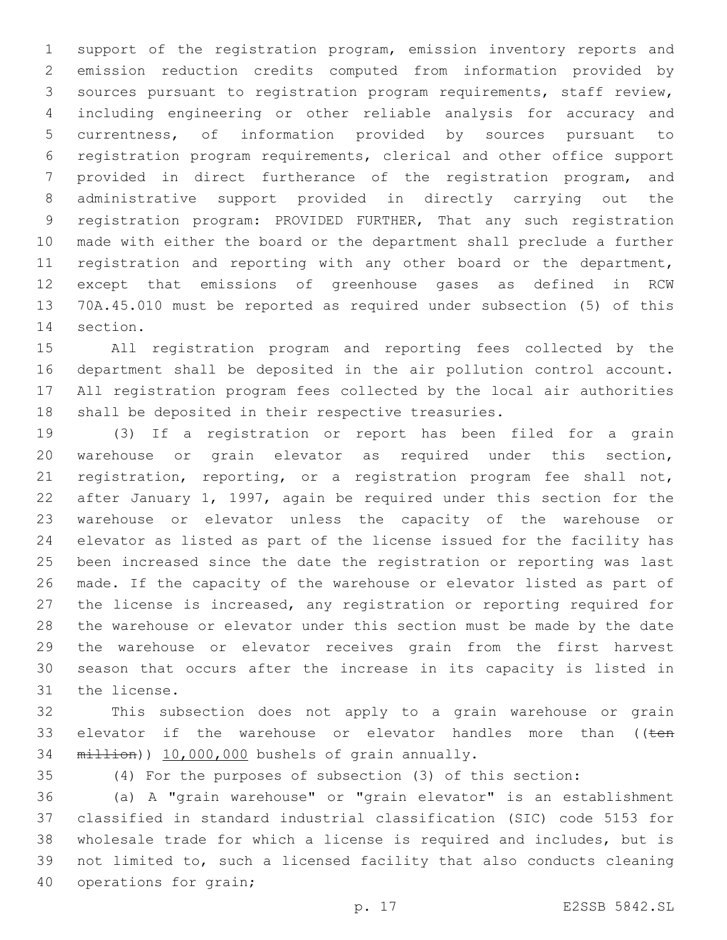support of the registration program, emission inventory reports and emission reduction credits computed from information provided by sources pursuant to registration program requirements, staff review, including engineering or other reliable analysis for accuracy and currentness, of information provided by sources pursuant to registration program requirements, clerical and other office support provided in direct furtherance of the registration program, and administrative support provided in directly carrying out the registration program: PROVIDED FURTHER, That any such registration made with either the board or the department shall preclude a further 11 registration and reporting with any other board or the department, except that emissions of greenhouse gases as defined in RCW 70A.45.010 must be reported as required under subsection (5) of this 14 section.

 All registration program and reporting fees collected by the department shall be deposited in the air pollution control account. All registration program fees collected by the local air authorities shall be deposited in their respective treasuries.

 (3) If a registration or report has been filed for a grain warehouse or grain elevator as required under this section, 21 registration, reporting, or a registration program fee shall not, after January 1, 1997, again be required under this section for the warehouse or elevator unless the capacity of the warehouse or elevator as listed as part of the license issued for the facility has been increased since the date the registration or reporting was last made. If the capacity of the warehouse or elevator listed as part of the license is increased, any registration or reporting required for the warehouse or elevator under this section must be made by the date the warehouse or elevator receives grain from the first harvest season that occurs after the increase in its capacity is listed in 31 the license.

 This subsection does not apply to a grain warehouse or grain 33 elevator if the warehouse or elevator handles more than ((ten 34 million)) 10,000,000 bushels of grain annually.

(4) For the purposes of subsection (3) of this section:

 (a) A "grain warehouse" or "grain elevator" is an establishment classified in standard industrial classification (SIC) code 5153 for wholesale trade for which a license is required and includes, but is not limited to, such a licensed facility that also conducts cleaning 40 operations for grain;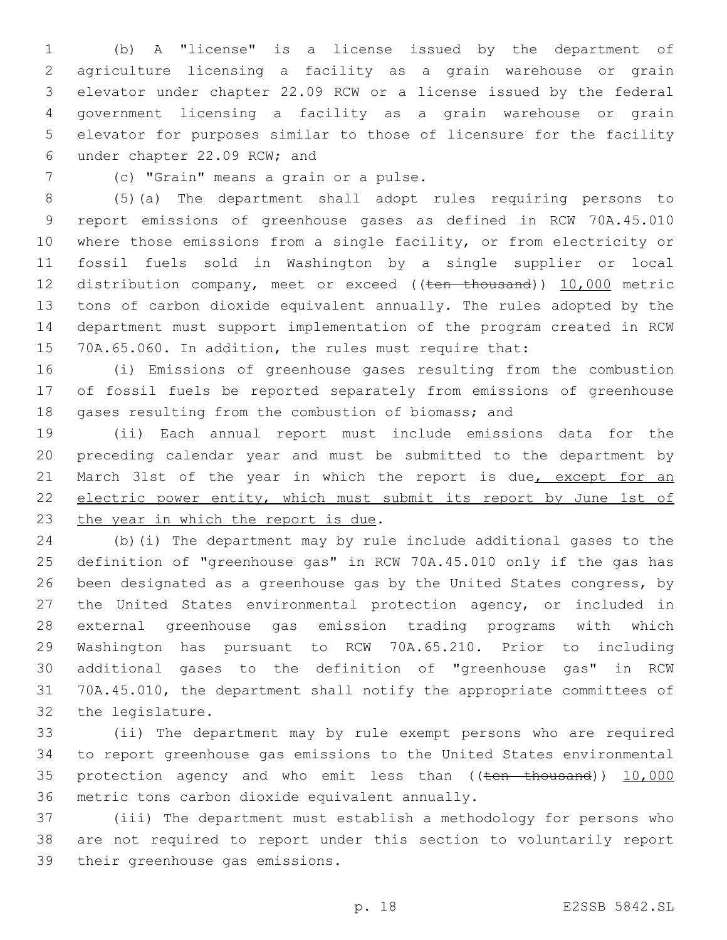(b) A "license" is a license issued by the department of agriculture licensing a facility as a grain warehouse or grain elevator under chapter 22.09 RCW or a license issued by the federal government licensing a facility as a grain warehouse or grain elevator for purposes similar to those of licensure for the facility under chapter 22.09 RCW; and6

7 (c) "Grain" means a grain or a pulse.

 (5)(a) The department shall adopt rules requiring persons to report emissions of greenhouse gases as defined in RCW 70A.45.010 where those emissions from a single facility, or from electricity or fossil fuels sold in Washington by a single supplier or local 12 distribution company, meet or exceed ((ten thousand)) 10,000 metric tons of carbon dioxide equivalent annually. The rules adopted by the department must support implementation of the program created in RCW 70A.65.060. In addition, the rules must require that:

 (i) Emissions of greenhouse gases resulting from the combustion of fossil fuels be reported separately from emissions of greenhouse gases resulting from the combustion of biomass; and

 (ii) Each annual report must include emissions data for the preceding calendar year and must be submitted to the department by 21 March 31st of the year in which the report is due, except for an 22 electric power entity, which must submit its report by June 1st of 23 the year in which the report is due.

 (b)(i) The department may by rule include additional gases to the definition of "greenhouse gas" in RCW 70A.45.010 only if the gas has been designated as a greenhouse gas by the United States congress, by the United States environmental protection agency, or included in external greenhouse gas emission trading programs with which Washington has pursuant to RCW 70A.65.210. Prior to including additional gases to the definition of "greenhouse gas" in RCW 70A.45.010, the department shall notify the appropriate committees of 32 the legislature.

 (ii) The department may by rule exempt persons who are required to report greenhouse gas emissions to the United States environmental 35 protection agency and who emit less than ((ten thousand)) 10,000 36 metric tons carbon dioxide equivalent annually.

 (iii) The department must establish a methodology for persons who are not required to report under this section to voluntarily report 39 their greenhouse gas emissions.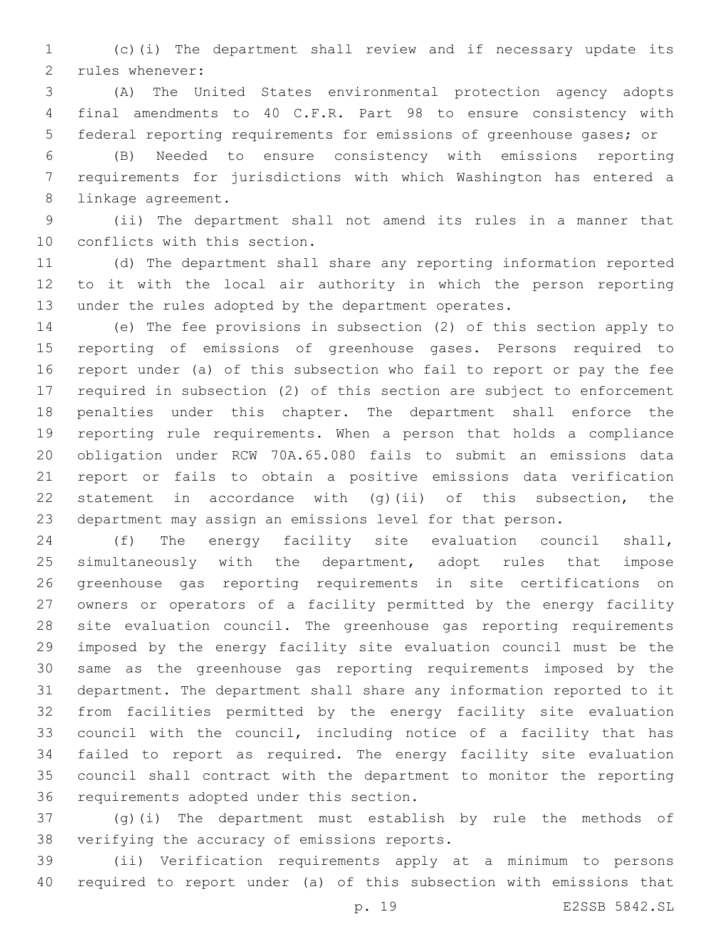(c)(i) The department shall review and if necessary update its 2 rules whenever:

 (A) The United States environmental protection agency adopts final amendments to 40 C.F.R. Part 98 to ensure consistency with federal reporting requirements for emissions of greenhouse gases; or

 (B) Needed to ensure consistency with emissions reporting requirements for jurisdictions with which Washington has entered a 8 linkage agreement.

 (ii) The department shall not amend its rules in a manner that 10 conflicts with this section.

 (d) The department shall share any reporting information reported to it with the local air authority in which the person reporting under the rules adopted by the department operates.

 (e) The fee provisions in subsection (2) of this section apply to reporting of emissions of greenhouse gases. Persons required to report under (a) of this subsection who fail to report or pay the fee required in subsection (2) of this section are subject to enforcement penalties under this chapter. The department shall enforce the reporting rule requirements. When a person that holds a compliance obligation under RCW 70A.65.080 fails to submit an emissions data report or fails to obtain a positive emissions data verification statement in accordance with (g)(ii) of this subsection, the department may assign an emissions level for that person.

 (f) The energy facility site evaluation council shall, simultaneously with the department, adopt rules that impose greenhouse gas reporting requirements in site certifications on owners or operators of a facility permitted by the energy facility site evaluation council. The greenhouse gas reporting requirements imposed by the energy facility site evaluation council must be the same as the greenhouse gas reporting requirements imposed by the department. The department shall share any information reported to it from facilities permitted by the energy facility site evaluation council with the council, including notice of a facility that has failed to report as required. The energy facility site evaluation council shall contract with the department to monitor the reporting 36 requirements adopted under this section.

 (g)(i) The department must establish by rule the methods of 38 verifying the accuracy of emissions reports.

 (ii) Verification requirements apply at a minimum to persons required to report under (a) of this subsection with emissions that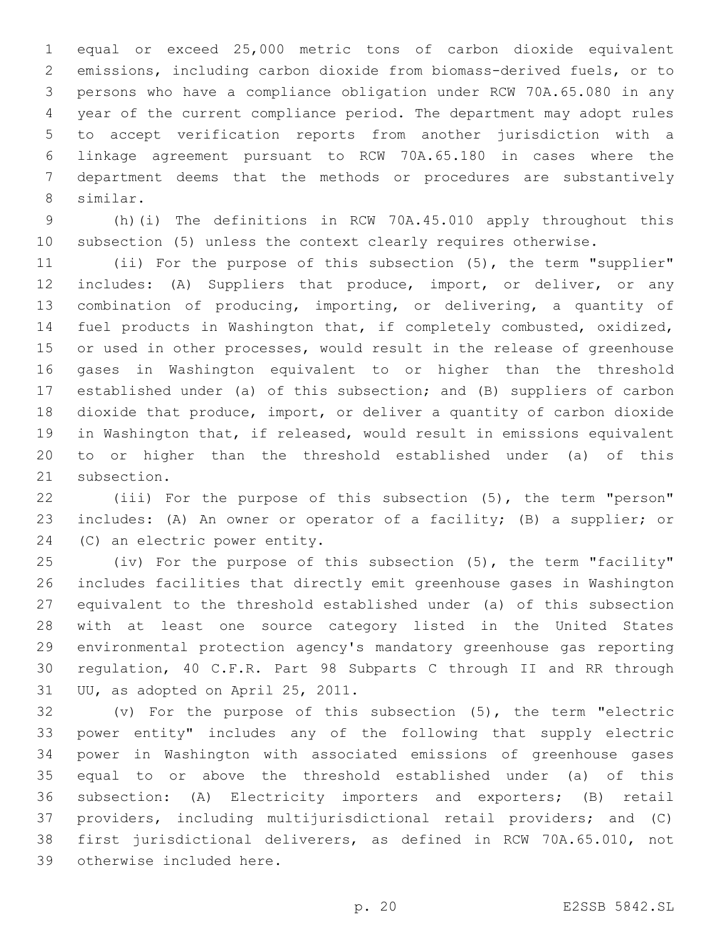equal or exceed 25,000 metric tons of carbon dioxide equivalent emissions, including carbon dioxide from biomass-derived fuels, or to persons who have a compliance obligation under RCW 70A.65.080 in any year of the current compliance period. The department may adopt rules to accept verification reports from another jurisdiction with a linkage agreement pursuant to RCW 70A.65.180 in cases where the department deems that the methods or procedures are substantively similar.8

 (h)(i) The definitions in RCW 70A.45.010 apply throughout this subsection (5) unless the context clearly requires otherwise.

 (ii) For the purpose of this subsection (5), the term "supplier" includes: (A) Suppliers that produce, import, or deliver, or any combination of producing, importing, or delivering, a quantity of fuel products in Washington that, if completely combusted, oxidized, 15 or used in other processes, would result in the release of greenhouse gases in Washington equivalent to or higher than the threshold established under (a) of this subsection; and (B) suppliers of carbon dioxide that produce, import, or deliver a quantity of carbon dioxide in Washington that, if released, would result in emissions equivalent to or higher than the threshold established under (a) of this 21 subsection.

 (iii) For the purpose of this subsection (5), the term "person" includes: (A) An owner or operator of a facility; (B) a supplier; or 24 (C) an electric power entity.

 (iv) For the purpose of this subsection (5), the term "facility" includes facilities that directly emit greenhouse gases in Washington equivalent to the threshold established under (a) of this subsection with at least one source category listed in the United States environmental protection agency's mandatory greenhouse gas reporting regulation, 40 C.F.R. Part 98 Subparts C through II and RR through 31 UU, as adopted on April 25, 2011.

 (v) For the purpose of this subsection (5), the term "electric power entity" includes any of the following that supply electric power in Washington with associated emissions of greenhouse gases equal to or above the threshold established under (a) of this subsection: (A) Electricity importers and exporters; (B) retail providers, including multijurisdictional retail providers; and (C) first jurisdictional deliverers, as defined in RCW 70A.65.010, not 39 otherwise included here.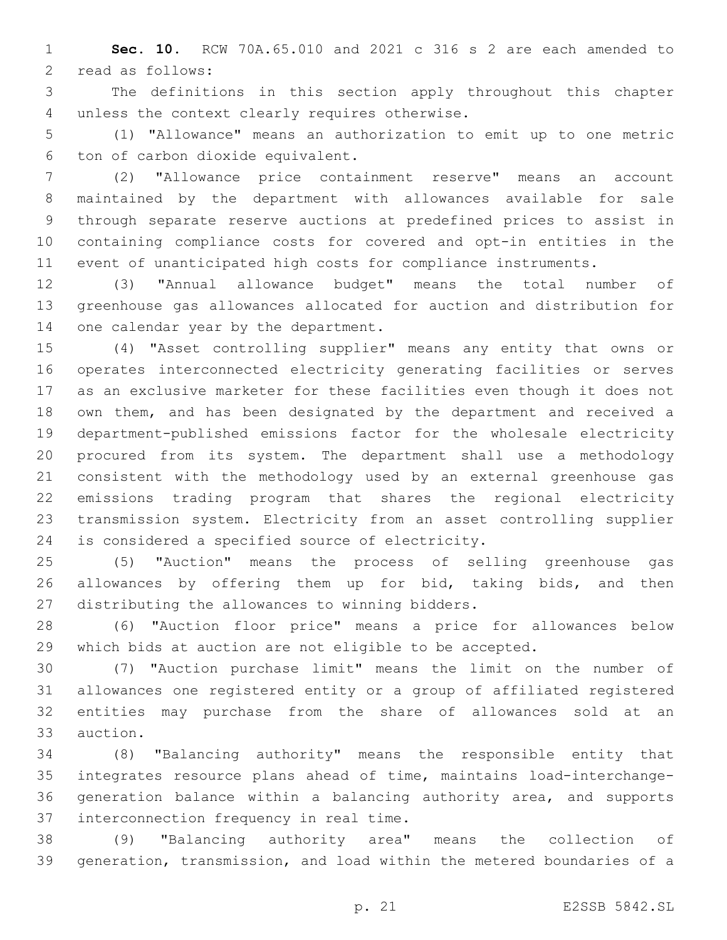**Sec. 10.** RCW 70A.65.010 and 2021 c 316 s 2 are each amended to 2 read as follows:

 The definitions in this section apply throughout this chapter 4 unless the context clearly requires otherwise.

 (1) "Allowance" means an authorization to emit up to one metric 6 ton of carbon dioxide equivalent.

 (2) "Allowance price containment reserve" means an account maintained by the department with allowances available for sale through separate reserve auctions at predefined prices to assist in containing compliance costs for covered and opt-in entities in the event of unanticipated high costs for compliance instruments.

 (3) "Annual allowance budget" means the total number of greenhouse gas allowances allocated for auction and distribution for 14 one calendar year by the department.

 (4) "Asset controlling supplier" means any entity that owns or operates interconnected electricity generating facilities or serves as an exclusive marketer for these facilities even though it does not own them, and has been designated by the department and received a department-published emissions factor for the wholesale electricity procured from its system. The department shall use a methodology consistent with the methodology used by an external greenhouse gas emissions trading program that shares the regional electricity transmission system. Electricity from an asset controlling supplier 24 is considered a specified source of electricity.

 (5) "Auction" means the process of selling greenhouse gas 26 allowances by offering them up for bid, taking bids, and then 27 distributing the allowances to winning bidders.

 (6) "Auction floor price" means a price for allowances below which bids at auction are not eligible to be accepted.

 (7) "Auction purchase limit" means the limit on the number of allowances one registered entity or a group of affiliated registered entities may purchase from the share of allowances sold at an 33 auction.

 (8) "Balancing authority" means the responsible entity that integrates resource plans ahead of time, maintains load-interchange- generation balance within a balancing authority area, and supports 37 interconnection frequency in real time.

 (9) "Balancing authority area" means the collection of generation, transmission, and load within the metered boundaries of a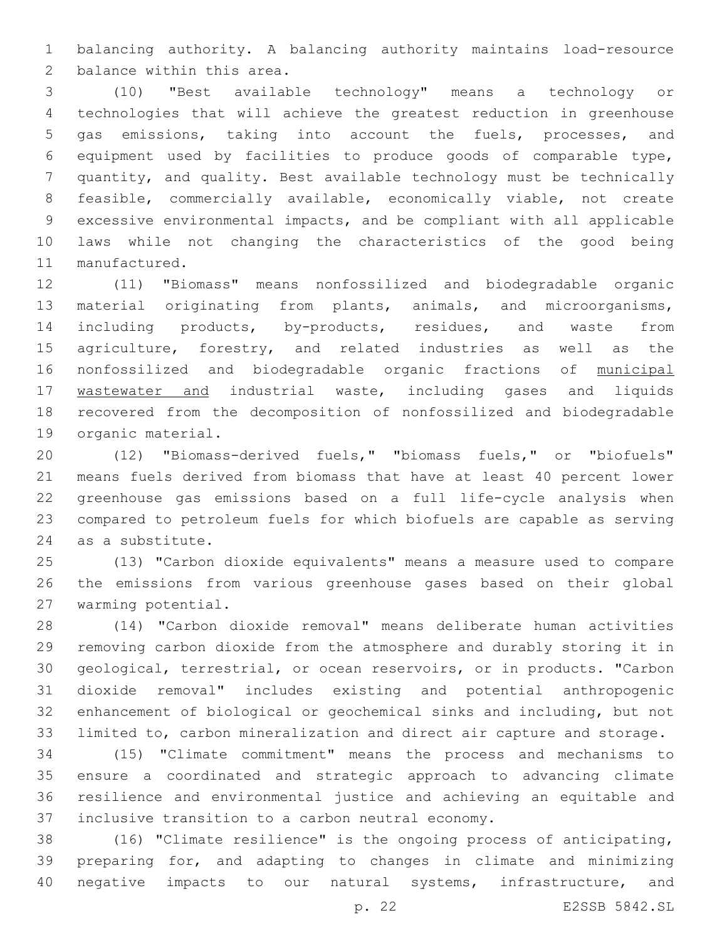balancing authority. A balancing authority maintains load-resource 2 balance within this area.

 (10) "Best available technology" means a technology or technologies that will achieve the greatest reduction in greenhouse gas emissions, taking into account the fuels, processes, and equipment used by facilities to produce goods of comparable type, quantity, and quality. Best available technology must be technically feasible, commercially available, economically viable, not create excessive environmental impacts, and be compliant with all applicable laws while not changing the characteristics of the good being 11 manufactured.

 (11) "Biomass" means nonfossilized and biodegradable organic material originating from plants, animals, and microorganisms, including products, by-products, residues, and waste from 15 agriculture, forestry, and related industries as well as the nonfossilized and biodegradable organic fractions of municipal wastewater and industrial waste, including gases and liquids recovered from the decomposition of nonfossilized and biodegradable 19 organic material.

 (12) "Biomass-derived fuels," "biomass fuels," or "biofuels" means fuels derived from biomass that have at least 40 percent lower greenhouse gas emissions based on a full life-cycle analysis when compared to petroleum fuels for which biofuels are capable as serving 24 as a substitute.

 (13) "Carbon dioxide equivalents" means a measure used to compare the emissions from various greenhouse gases based on their global 27 warming potential.

 (14) "Carbon dioxide removal" means deliberate human activities removing carbon dioxide from the atmosphere and durably storing it in geological, terrestrial, or ocean reservoirs, or in products. "Carbon dioxide removal" includes existing and potential anthropogenic enhancement of biological or geochemical sinks and including, but not limited to, carbon mineralization and direct air capture and storage.

 (15) "Climate commitment" means the process and mechanisms to ensure a coordinated and strategic approach to advancing climate resilience and environmental justice and achieving an equitable and 37 inclusive transition to a carbon neutral economy.

 (16) "Climate resilience" is the ongoing process of anticipating, preparing for, and adapting to changes in climate and minimizing negative impacts to our natural systems, infrastructure, and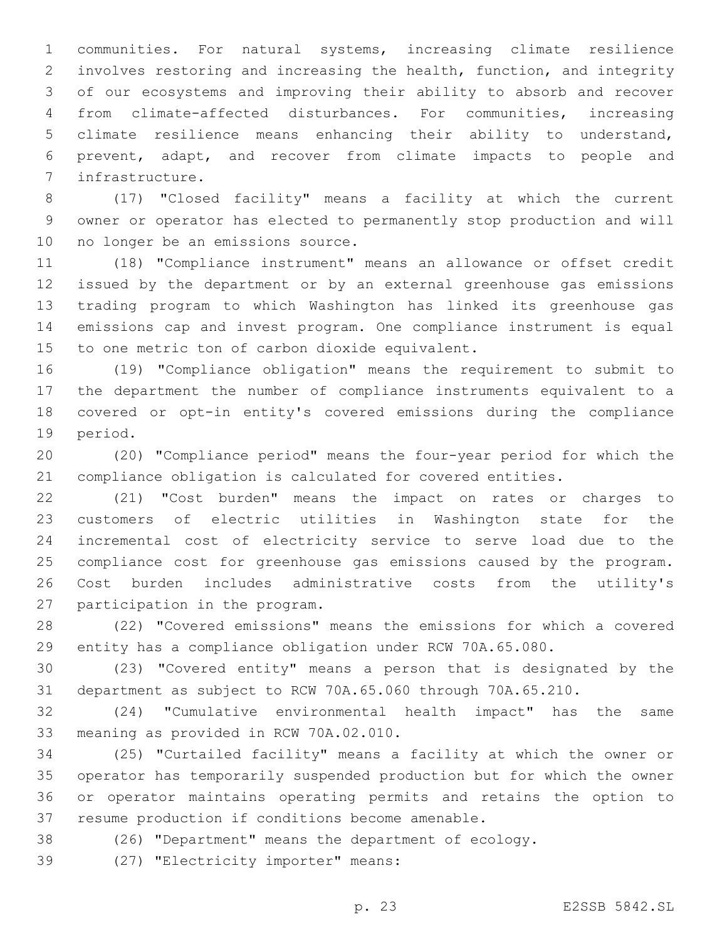communities. For natural systems, increasing climate resilience involves restoring and increasing the health, function, and integrity of our ecosystems and improving their ability to absorb and recover from climate-affected disturbances. For communities, increasing climate resilience means enhancing their ability to understand, prevent, adapt, and recover from climate impacts to people and 7 infrastructure.

 (17) "Closed facility" means a facility at which the current owner or operator has elected to permanently stop production and will 10 no longer be an emissions source.

 (18) "Compliance instrument" means an allowance or offset credit issued by the department or by an external greenhouse gas emissions trading program to which Washington has linked its greenhouse gas emissions cap and invest program. One compliance instrument is equal 15 to one metric ton of carbon dioxide equivalent.

 (19) "Compliance obligation" means the requirement to submit to the department the number of compliance instruments equivalent to a covered or opt-in entity's covered emissions during the compliance 19 period.

 (20) "Compliance period" means the four-year period for which the compliance obligation is calculated for covered entities.

 (21) "Cost burden" means the impact on rates or charges to customers of electric utilities in Washington state for the incremental cost of electricity service to serve load due to the compliance cost for greenhouse gas emissions caused by the program. Cost burden includes administrative costs from the utility's 27 participation in the program.

 (22) "Covered emissions" means the emissions for which a covered entity has a compliance obligation under RCW 70A.65.080.

 (23) "Covered entity" means a person that is designated by the department as subject to RCW 70A.65.060 through 70A.65.210.

 (24) "Cumulative environmental health impact" has the same 33 meaning as provided in RCW 70A.02.010.

 (25) "Curtailed facility" means a facility at which the owner or operator has temporarily suspended production but for which the owner or operator maintains operating permits and retains the option to 37 resume production if conditions become amenable.

(26) "Department" means the department of ecology.

39 (27) "Electricity importer" means: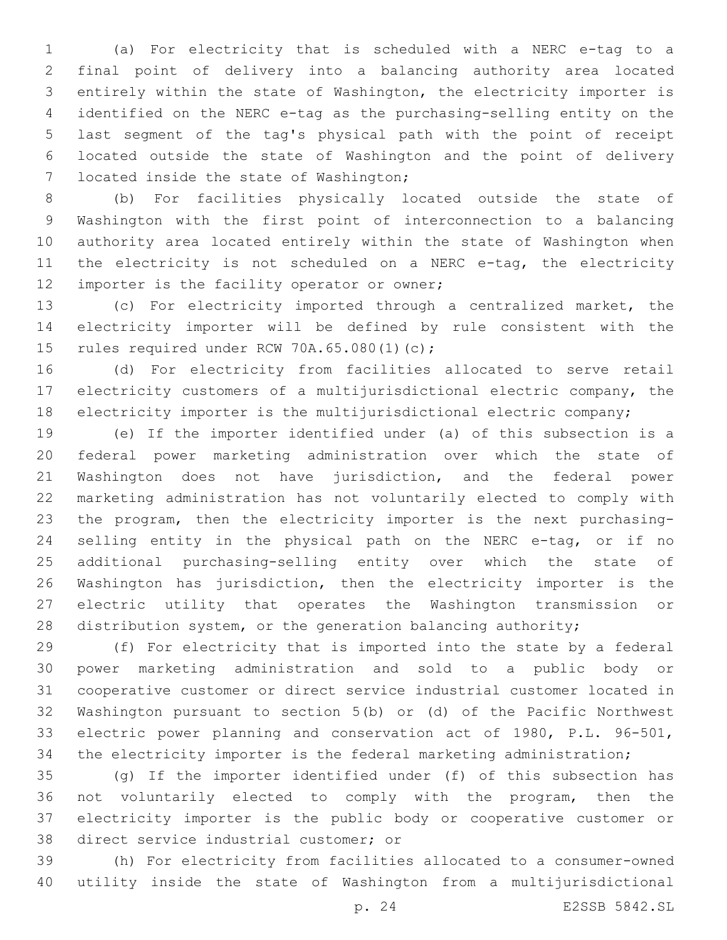(a) For electricity that is scheduled with a NERC e-tag to a final point of delivery into a balancing authority area located entirely within the state of Washington, the electricity importer is identified on the NERC e-tag as the purchasing-selling entity on the last segment of the tag's physical path with the point of receipt located outside the state of Washington and the point of delivery 7 located inside the state of Washington;

 (b) For facilities physically located outside the state of Washington with the first point of interconnection to a balancing authority area located entirely within the state of Washington when the electricity is not scheduled on a NERC e-tag, the electricity 12 importer is the facility operator or owner;

 (c) For electricity imported through a centralized market, the electricity importer will be defined by rule consistent with the 15 rules required under RCW 70A.65.080(1)(c);

 (d) For electricity from facilities allocated to serve retail electricity customers of a multijurisdictional electric company, the 18 electricity importer is the multijurisdictional electric company;

 (e) If the importer identified under (a) of this subsection is a federal power marketing administration over which the state of Washington does not have jurisdiction, and the federal power marketing administration has not voluntarily elected to comply with the program, then the electricity importer is the next purchasing- selling entity in the physical path on the NERC e-tag, or if no additional purchasing-selling entity over which the state of Washington has jurisdiction, then the electricity importer is the electric utility that operates the Washington transmission or 28 distribution system, or the generation balancing authority;

 (f) For electricity that is imported into the state by a federal power marketing administration and sold to a public body or cooperative customer or direct service industrial customer located in Washington pursuant to section 5(b) or (d) of the Pacific Northwest electric power planning and conservation act of 1980, P.L. 96-501, the electricity importer is the federal marketing administration;

 (g) If the importer identified under (f) of this subsection has not voluntarily elected to comply with the program, then the electricity importer is the public body or cooperative customer or 38 direct service industrial customer; or

 (h) For electricity from facilities allocated to a consumer-owned utility inside the state of Washington from a multijurisdictional

p. 24 E2SSB 5842.SL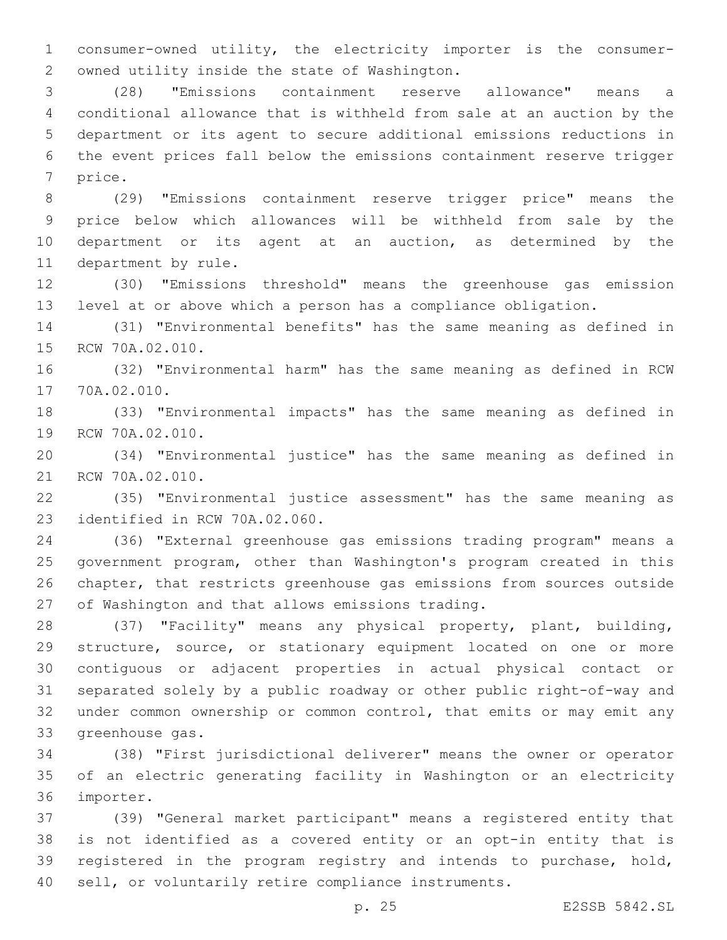consumer-owned utility, the electricity importer is the consumerowned utility inside the state of Washington.2

 (28) "Emissions containment reserve allowance" means a conditional allowance that is withheld from sale at an auction by the department or its agent to secure additional emissions reductions in the event prices fall below the emissions containment reserve trigger 7 price.

 (29) "Emissions containment reserve trigger price" means the price below which allowances will be withheld from sale by the department or its agent at an auction, as determined by the 11 department by rule.

 (30) "Emissions threshold" means the greenhouse gas emission level at or above which a person has a compliance obligation.

 (31) "Environmental benefits" has the same meaning as defined in 15 RCW 70A.02.010.

 (32) "Environmental harm" has the same meaning as defined in RCW 17 70A.02.010.

 (33) "Environmental impacts" has the same meaning as defined in 19 RCW 70A.02.010.

 (34) "Environmental justice" has the same meaning as defined in 21 RCW 70A.02.010.

 (35) "Environmental justice assessment" has the same meaning as 23 identified in RCW 70A.02.060.

 (36) "External greenhouse gas emissions trading program" means a government program, other than Washington's program created in this chapter, that restricts greenhouse gas emissions from sources outside 27 of Washington and that allows emissions trading.

 (37) "Facility" means any physical property, plant, building, structure, source, or stationary equipment located on one or more contiguous or adjacent properties in actual physical contact or separated solely by a public roadway or other public right-of-way and under common ownership or common control, that emits or may emit any 33 greenhouse gas.

 (38) "First jurisdictional deliverer" means the owner or operator of an electric generating facility in Washington or an electricity 36 importer.

 (39) "General market participant" means a registered entity that is not identified as a covered entity or an opt-in entity that is registered in the program registry and intends to purchase, hold, sell, or voluntarily retire compliance instruments.

p. 25 E2SSB 5842.SL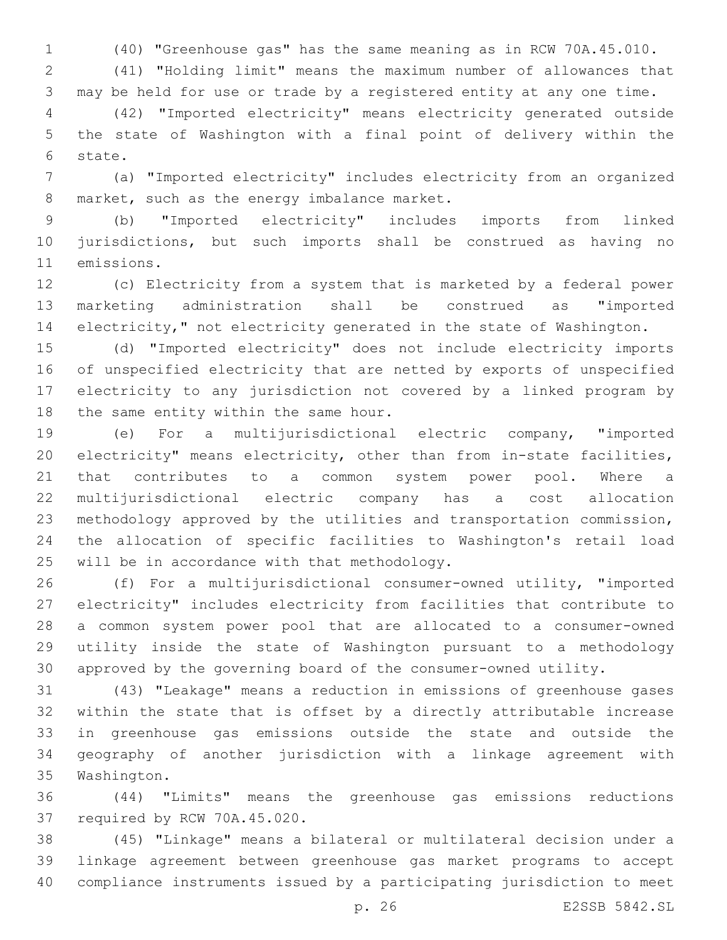(40) "Greenhouse gas" has the same meaning as in RCW 70A.45.010.

 (41) "Holding limit" means the maximum number of allowances that may be held for use or trade by a registered entity at any one time.

 (42) "Imported electricity" means electricity generated outside the state of Washington with a final point of delivery within the 6 state.

 (a) "Imported electricity" includes electricity from an organized 8 market, such as the energy imbalance market.

 (b) "Imported electricity" includes imports from linked jurisdictions, but such imports shall be construed as having no 11 emissions.

 (c) Electricity from a system that is marketed by a federal power marketing administration shall be construed as "imported electricity," not electricity generated in the state of Washington.

 (d) "Imported electricity" does not include electricity imports of unspecified electricity that are netted by exports of unspecified electricity to any jurisdiction not covered by a linked program by 18 the same entity within the same hour.

 (e) For a multijurisdictional electric company, "imported electricity" means electricity, other than from in-state facilities, that contributes to a common system power pool. Where a multijurisdictional electric company has a cost allocation methodology approved by the utilities and transportation commission, the allocation of specific facilities to Washington's retail load 25 will be in accordance with that methodology.

 (f) For a multijurisdictional consumer-owned utility, "imported electricity" includes electricity from facilities that contribute to a common system power pool that are allocated to a consumer-owned utility inside the state of Washington pursuant to a methodology approved by the governing board of the consumer-owned utility.

 (43) "Leakage" means a reduction in emissions of greenhouse gases within the state that is offset by a directly attributable increase in greenhouse gas emissions outside the state and outside the geography of another jurisdiction with a linkage agreement with 35 Washington.

 (44) "Limits" means the greenhouse gas emissions reductions 37 required by RCW 70A.45.020.

 (45) "Linkage" means a bilateral or multilateral decision under a linkage agreement between greenhouse gas market programs to accept compliance instruments issued by a participating jurisdiction to meet

p. 26 E2SSB 5842.SL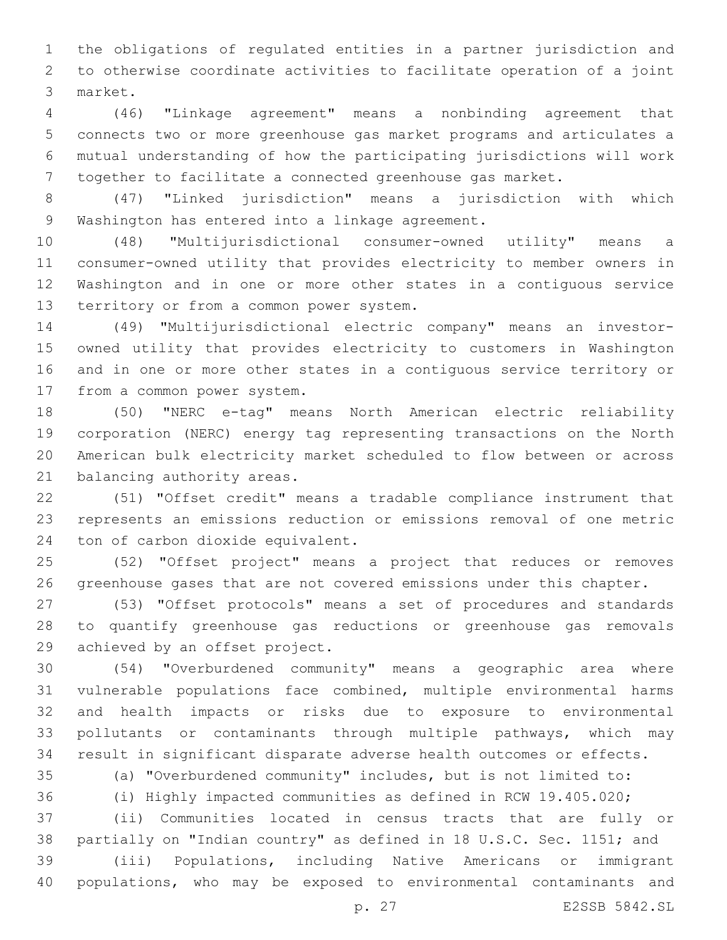the obligations of regulated entities in a partner jurisdiction and to otherwise coordinate activities to facilitate operation of a joint market.3

 (46) "Linkage agreement" means a nonbinding agreement that connects two or more greenhouse gas market programs and articulates a mutual understanding of how the participating jurisdictions will work together to facilitate a connected greenhouse gas market.

 (47) "Linked jurisdiction" means a jurisdiction with which 9 Washington has entered into a linkage agreement.

 (48) "Multijurisdictional consumer-owned utility" means a consumer-owned utility that provides electricity to member owners in Washington and in one or more other states in a contiguous service 13 territory or from a common power system.

 (49) "Multijurisdictional electric company" means an investor- owned utility that provides electricity to customers in Washington and in one or more other states in a contiguous service territory or 17 from a common power system.

 (50) "NERC e-tag" means North American electric reliability corporation (NERC) energy tag representing transactions on the North American bulk electricity market scheduled to flow between or across 21 balancing authority areas.

 (51) "Offset credit" means a tradable compliance instrument that represents an emissions reduction or emissions removal of one metric 24 ton of carbon dioxide equivalent.

 (52) "Offset project" means a project that reduces or removes greenhouse gases that are not covered emissions under this chapter.

 (53) "Offset protocols" means a set of procedures and standards to quantify greenhouse gas reductions or greenhouse gas removals 29 achieved by an offset project.

 (54) "Overburdened community" means a geographic area where vulnerable populations face combined, multiple environmental harms and health impacts or risks due to exposure to environmental pollutants or contaminants through multiple pathways, which may result in significant disparate adverse health outcomes or effects.

 (a) "Overburdened community" includes, but is not limited to: (i) Highly impacted communities as defined in RCW 19.405.020; (ii) Communities located in census tracts that are fully or

 partially on "Indian country" as defined in 18 U.S.C. Sec. 1151; and (iii) Populations, including Native Americans or immigrant populations, who may be exposed to environmental contaminants and

p. 27 E2SSB 5842.SL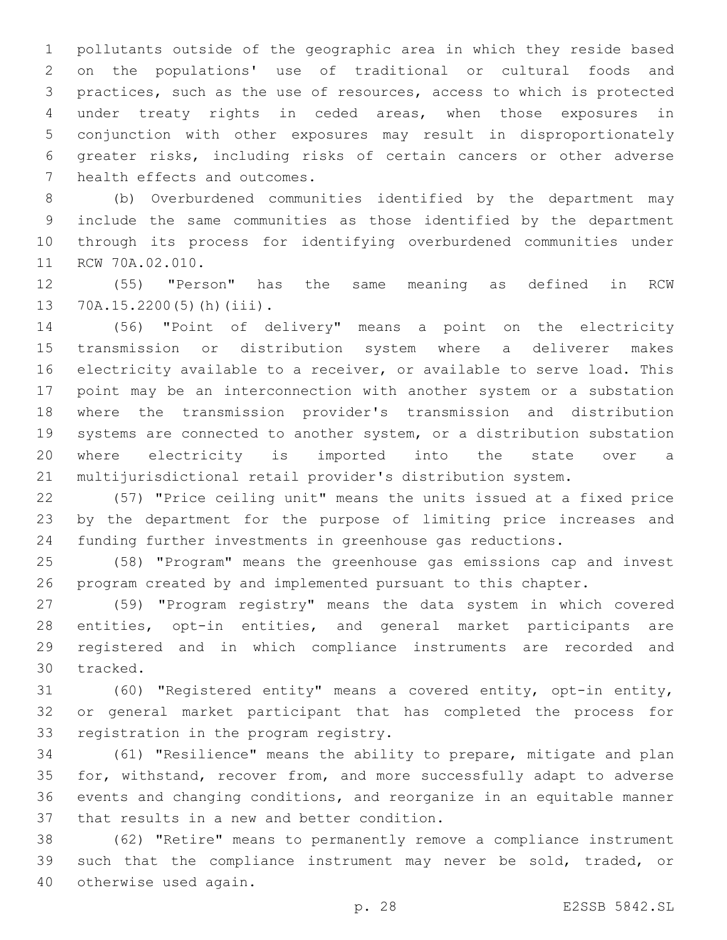pollutants outside of the geographic area in which they reside based on the populations' use of traditional or cultural foods and practices, such as the use of resources, access to which is protected under treaty rights in ceded areas, when those exposures in conjunction with other exposures may result in disproportionately greater risks, including risks of certain cancers or other adverse 7 health effects and outcomes.

 (b) Overburdened communities identified by the department may include the same communities as those identified by the department through its process for identifying overburdened communities under 11 RCW 70A.02.010.

 (55) "Person" has the same meaning as defined in RCW 13 70A.15.2200(5)(h)(iii).

 (56) "Point of delivery" means a point on the electricity transmission or distribution system where a deliverer makes electricity available to a receiver, or available to serve load. This point may be an interconnection with another system or a substation where the transmission provider's transmission and distribution systems are connected to another system, or a distribution substation where electricity is imported into the state over a multijurisdictional retail provider's distribution system.

 (57) "Price ceiling unit" means the units issued at a fixed price by the department for the purpose of limiting price increases and funding further investments in greenhouse gas reductions.

 (58) "Program" means the greenhouse gas emissions cap and invest program created by and implemented pursuant to this chapter.

 (59) "Program registry" means the data system in which covered entities, opt-in entities, and general market participants are registered and in which compliance instruments are recorded and 30 tracked.

 (60) "Registered entity" means a covered entity, opt-in entity, or general market participant that has completed the process for 33 registration in the program registry.

 (61) "Resilience" means the ability to prepare, mitigate and plan for, withstand, recover from, and more successfully adapt to adverse events and changing conditions, and reorganize in an equitable manner 37 that results in a new and better condition.

 (62) "Retire" means to permanently remove a compliance instrument such that the compliance instrument may never be sold, traded, or 40 otherwise used again.

p. 28 E2SSB 5842.SL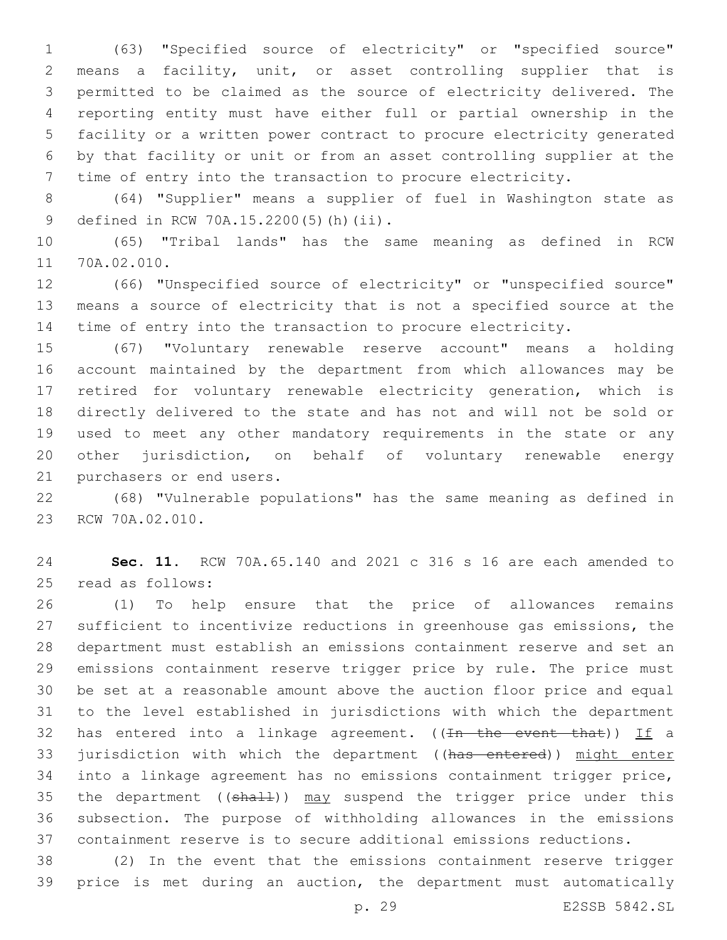(63) "Specified source of electricity" or "specified source" means a facility, unit, or asset controlling supplier that is permitted to be claimed as the source of electricity delivered. The reporting entity must have either full or partial ownership in the facility or a written power contract to procure electricity generated by that facility or unit or from an asset controlling supplier at the time of entry into the transaction to procure electricity.

 (64) "Supplier" means a supplier of fuel in Washington state as 9 defined in RCW 70A.15.2200(5)(h)(ii).

 (65) "Tribal lands" has the same meaning as defined in RCW 11 70A.02.010.

 (66) "Unspecified source of electricity" or "unspecified source" means a source of electricity that is not a specified source at the time of entry into the transaction to procure electricity.

 (67) "Voluntary renewable reserve account" means a holding account maintained by the department from which allowances may be retired for voluntary renewable electricity generation, which is directly delivered to the state and has not and will not be sold or used to meet any other mandatory requirements in the state or any other jurisdiction, on behalf of voluntary renewable energy 21 purchasers or end users.

 (68) "Vulnerable populations" has the same meaning as defined in 23 RCW 70A.02.010.

 **Sec. 11.** RCW 70A.65.140 and 2021 c 316 s 16 are each amended to 25 read as follows:

 (1) To help ensure that the price of allowances remains sufficient to incentivize reductions in greenhouse gas emissions, the department must establish an emissions containment reserve and set an emissions containment reserve trigger price by rule. The price must be set at a reasonable amount above the auction floor price and equal to the level established in jurisdictions with which the department 32 has entered into a linkage agreement.  $((\text{In the event that}))$  If a 33 jurisdiction with which the department ((has entered)) might enter into a linkage agreement has no emissions containment trigger price, 35 the department ( $(\text{sha11})$ ) may suspend the trigger price under this subsection. The purpose of withholding allowances in the emissions containment reserve is to secure additional emissions reductions.

 (2) In the event that the emissions containment reserve trigger price is met during an auction, the department must automatically

p. 29 E2SSB 5842.SL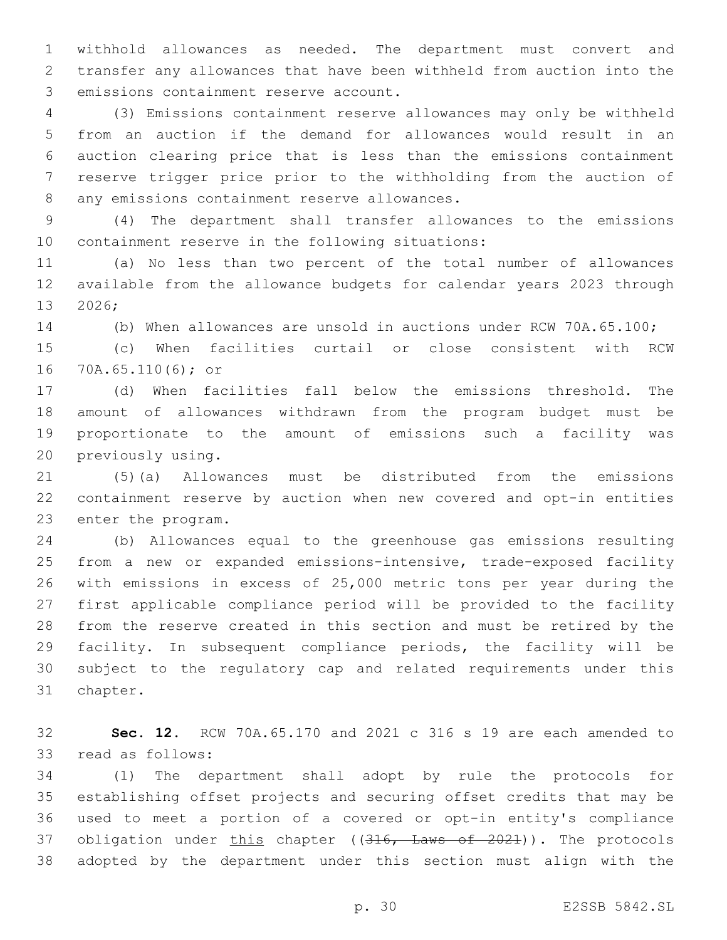withhold allowances as needed. The department must convert and transfer any allowances that have been withheld from auction into the 3 emissions containment reserve account.

 (3) Emissions containment reserve allowances may only be withheld from an auction if the demand for allowances would result in an auction clearing price that is less than the emissions containment reserve trigger price prior to the withholding from the auction of 8 any emissions containment reserve allowances.

 (4) The department shall transfer allowances to the emissions 10 containment reserve in the following situations:

 (a) No less than two percent of the total number of allowances available from the allowance budgets for calendar years 2023 through 13 2026;

(b) When allowances are unsold in auctions under RCW 70A.65.100;

 (c) When facilities curtail or close consistent with RCW 70A.65.110(6); or16

 (d) When facilities fall below the emissions threshold. The amount of allowances withdrawn from the program budget must be proportionate to the amount of emissions such a facility was 20 previously using.

 (5)(a) Allowances must be distributed from the emissions containment reserve by auction when new covered and opt-in entities 23 enter the program.

 (b) Allowances equal to the greenhouse gas emissions resulting from a new or expanded emissions-intensive, trade-exposed facility with emissions in excess of 25,000 metric tons per year during the first applicable compliance period will be provided to the facility from the reserve created in this section and must be retired by the facility. In subsequent compliance periods, the facility will be subject to the regulatory cap and related requirements under this 31 chapter.

 **Sec. 12.** RCW 70A.65.170 and 2021 c 316 s 19 are each amended to 33 read as follows:

 (1) The department shall adopt by rule the protocols for establishing offset projects and securing offset credits that may be used to meet a portion of a covered or opt-in entity's compliance 37 obligation under this chapter ((316, Laws of 2021)). The protocols adopted by the department under this section must align with the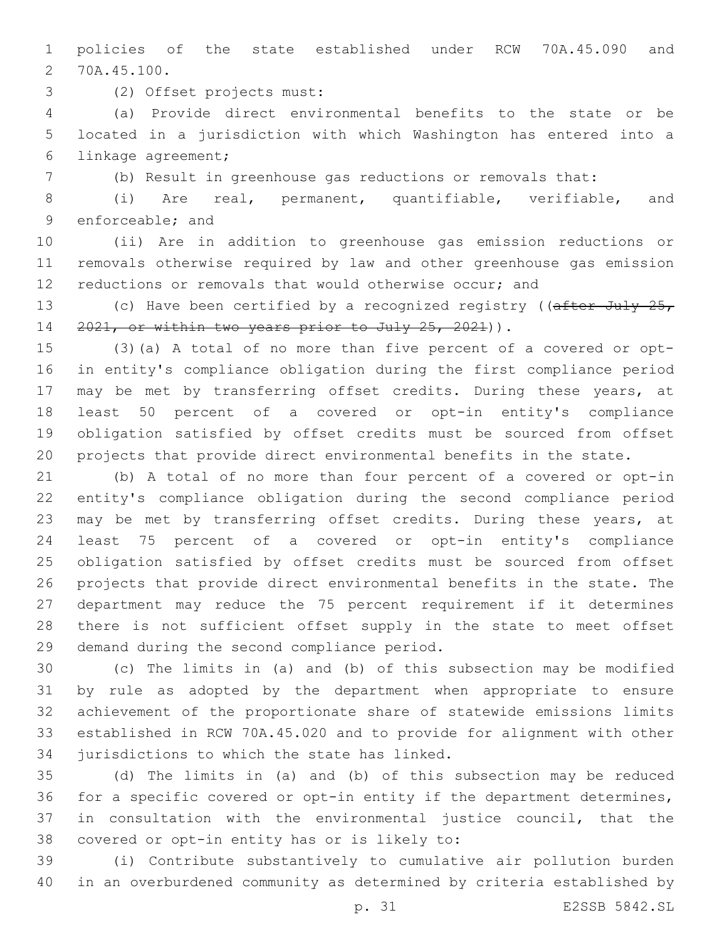1 policies of the state established under RCW 70A.45.090 and 70A.45.100.2

(2) Offset projects must:3

 (a) Provide direct environmental benefits to the state or be located in a jurisdiction with which Washington has entered into a 6 linkage agreement;

(b) Result in greenhouse gas reductions or removals that:

 (i) Are real, permanent, quantifiable, verifiable, and 9 enforceable; and

 (ii) Are in addition to greenhouse gas emission reductions or removals otherwise required by law and other greenhouse gas emission reductions or removals that would otherwise occur; and

13 (c) Have been certified by a recognized registry ((after July 25, 14 2021, or within two years prior to July 25, 2021)).

 (3)(a) A total of no more than five percent of a covered or opt- in entity's compliance obligation during the first compliance period 17 may be met by transferring offset credits. During these years, at least 50 percent of a covered or opt-in entity's compliance obligation satisfied by offset credits must be sourced from offset projects that provide direct environmental benefits in the state.

 (b) A total of no more than four percent of a covered or opt-in entity's compliance obligation during the second compliance period 23 may be met by transferring offset credits. During these years, at least 75 percent of a covered or opt-in entity's compliance obligation satisfied by offset credits must be sourced from offset projects that provide direct environmental benefits in the state. The department may reduce the 75 percent requirement if it determines there is not sufficient offset supply in the state to meet offset 29 demand during the second compliance period.

 (c) The limits in (a) and (b) of this subsection may be modified by rule as adopted by the department when appropriate to ensure achievement of the proportionate share of statewide emissions limits established in RCW 70A.45.020 and to provide for alignment with other 34 jurisdictions to which the state has linked.

 (d) The limits in (a) and (b) of this subsection may be reduced for a specific covered or opt-in entity if the department determines, in consultation with the environmental justice council, that the 38 covered or opt-in entity has or is likely to:

 (i) Contribute substantively to cumulative air pollution burden in an overburdened community as determined by criteria established by

p. 31 E2SSB 5842.SL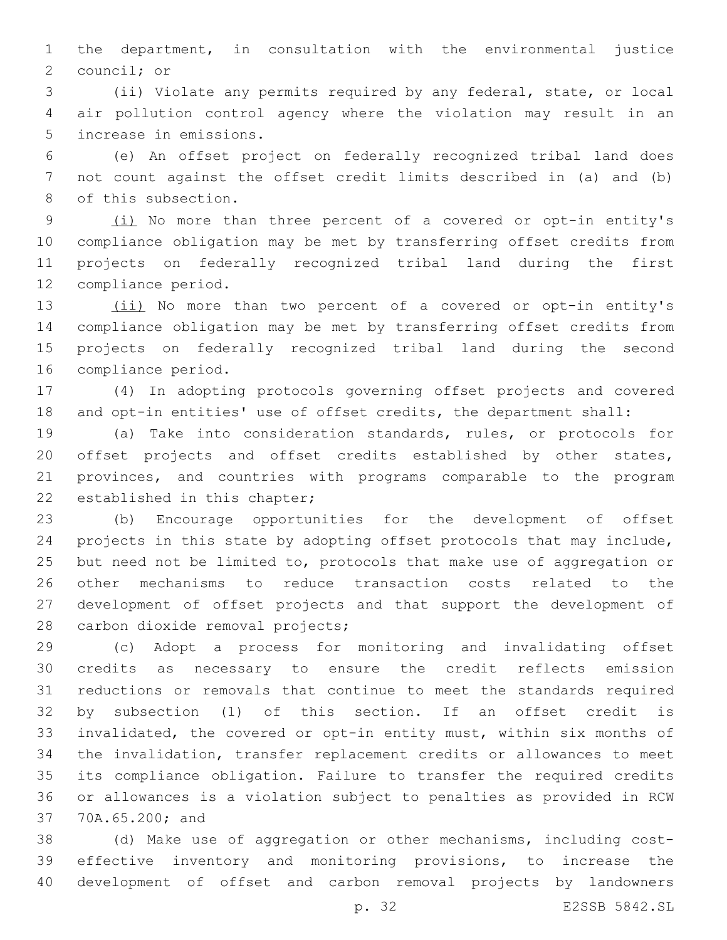the department, in consultation with the environmental justice 2 council; or

 (ii) Violate any permits required by any federal, state, or local air pollution control agency where the violation may result in an 5 increase in emissions.

 (e) An offset project on federally recognized tribal land does not count against the offset credit limits described in (a) and (b) 8 of this subsection.

9 (i) No more than three percent of a covered or opt-in entity's compliance obligation may be met by transferring offset credits from projects on federally recognized tribal land during the first 12 compliance period.

 (ii) No more than two percent of a covered or opt-in entity's compliance obligation may be met by transferring offset credits from projects on federally recognized tribal land during the second 16 compliance period.

 (4) In adopting protocols governing offset projects and covered and opt-in entities' use of offset credits, the department shall:

 (a) Take into consideration standards, rules, or protocols for offset projects and offset credits established by other states, provinces, and countries with programs comparable to the program 22 established in this chapter;

 (b) Encourage opportunities for the development of offset projects in this state by adopting offset protocols that may include, but need not be limited to, protocols that make use of aggregation or other mechanisms to reduce transaction costs related to the development of offset projects and that support the development of 28 carbon dioxide removal projects;

 (c) Adopt a process for monitoring and invalidating offset credits as necessary to ensure the credit reflects emission reductions or removals that continue to meet the standards required by subsection (1) of this section. If an offset credit is invalidated, the covered or opt-in entity must, within six months of the invalidation, transfer replacement credits or allowances to meet its compliance obligation. Failure to transfer the required credits or allowances is a violation subject to penalties as provided in RCW 37 70A.65.200; and

 (d) Make use of aggregation or other mechanisms, including cost- effective inventory and monitoring provisions, to increase the development of offset and carbon removal projects by landowners

p. 32 E2SSB 5842.SL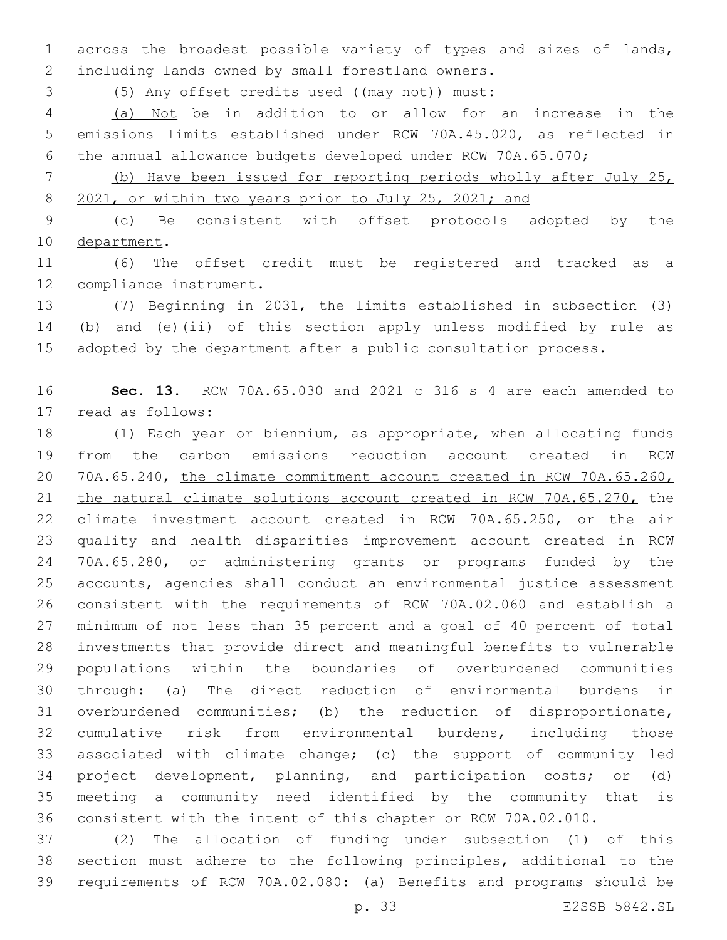across the broadest possible variety of types and sizes of lands, 2 including lands owned by small forestland owners.

(5) Any offset credits used ((may not)) must:

 (a) Not be in addition to or allow for an increase in the emissions limits established under RCW 70A.45.020, as reflected in 6 the annual allowance budgets developed under RCW 70A.65.070;

 (b) Have been issued for reporting periods wholly after July 25, 8 2021, or within two years prior to July 25, 2021; and

 (c) Be consistent with offset protocols adopted by the 10 department.

 (6) The offset credit must be registered and tracked as a 12 compliance instrument.

 (7) Beginning in 2031, the limits established in subsection (3) (b) and (e)(ii) of this section apply unless modified by rule as adopted by the department after a public consultation process.

 **Sec. 13.** RCW 70A.65.030 and 2021 c 316 s 4 are each amended to 17 read as follows:

 (1) Each year or biennium, as appropriate, when allocating funds from the carbon emissions reduction account created in RCW 20 70A.65.240, the climate commitment account created in RCW 70A.65.260, the natural climate solutions account created in RCW 70A.65.270, the climate investment account created in RCW 70A.65.250, or the air quality and health disparities improvement account created in RCW 70A.65.280, or administering grants or programs funded by the accounts, agencies shall conduct an environmental justice assessment consistent with the requirements of RCW 70A.02.060 and establish a minimum of not less than 35 percent and a goal of 40 percent of total investments that provide direct and meaningful benefits to vulnerable populations within the boundaries of overburdened communities through: (a) The direct reduction of environmental burdens in overburdened communities; (b) the reduction of disproportionate, cumulative risk from environmental burdens, including those associated with climate change; (c) the support of community led project development, planning, and participation costs; or (d) meeting a community need identified by the community that is consistent with the intent of this chapter or RCW 70A.02.010.

 (2) The allocation of funding under subsection (1) of this section must adhere to the following principles, additional to the requirements of RCW 70A.02.080: (a) Benefits and programs should be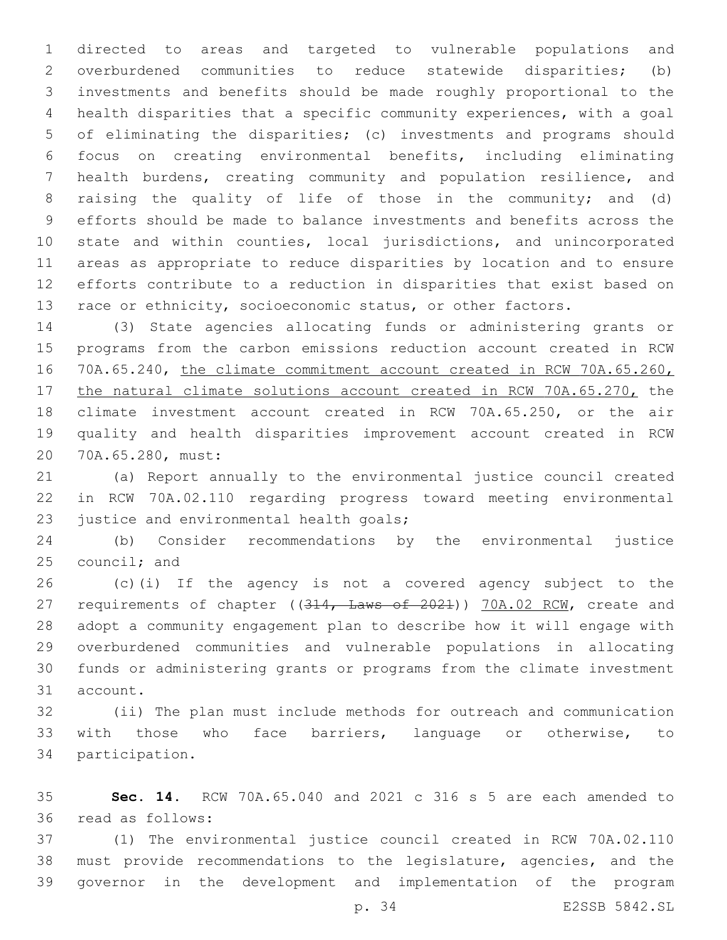directed to areas and targeted to vulnerable populations and overburdened communities to reduce statewide disparities; (b) investments and benefits should be made roughly proportional to the health disparities that a specific community experiences, with a goal of eliminating the disparities; (c) investments and programs should focus on creating environmental benefits, including eliminating health burdens, creating community and population resilience, and raising the quality of life of those in the community; and (d) efforts should be made to balance investments and benefits across the state and within counties, local jurisdictions, and unincorporated areas as appropriate to reduce disparities by location and to ensure efforts contribute to a reduction in disparities that exist based on 13 race or ethnicity, socioeconomic status, or other factors.

 (3) State agencies allocating funds or administering grants or programs from the carbon emissions reduction account created in RCW 70A.65.240, the climate commitment account created in RCW 70A.65.260, 17 the natural climate solutions account created in RCW 70A.65.270, the climate investment account created in RCW 70A.65.250, or the air quality and health disparities improvement account created in RCW 70A.65.280, must:20

 (a) Report annually to the environmental justice council created in RCW 70A.02.110 regarding progress toward meeting environmental 23 justice and environmental health goals;

 (b) Consider recommendations by the environmental justice council; and

 (c)(i) If the agency is not a covered agency subject to the 27 requirements of chapter ((314, Laws of 2021)) 70A.02 RCW, create and adopt a community engagement plan to describe how it will engage with overburdened communities and vulnerable populations in allocating funds or administering grants or programs from the climate investment 31 account.

 (ii) The plan must include methods for outreach and communication with those who face barriers, language or otherwise, to 34 participation.

 **Sec. 14.** RCW 70A.65.040 and 2021 c 316 s 5 are each amended to read as follows:36

 (1) The environmental justice council created in RCW 70A.02.110 must provide recommendations to the legislature, agencies, and the governor in the development and implementation of the program

p. 34 E2SSB 5842.SL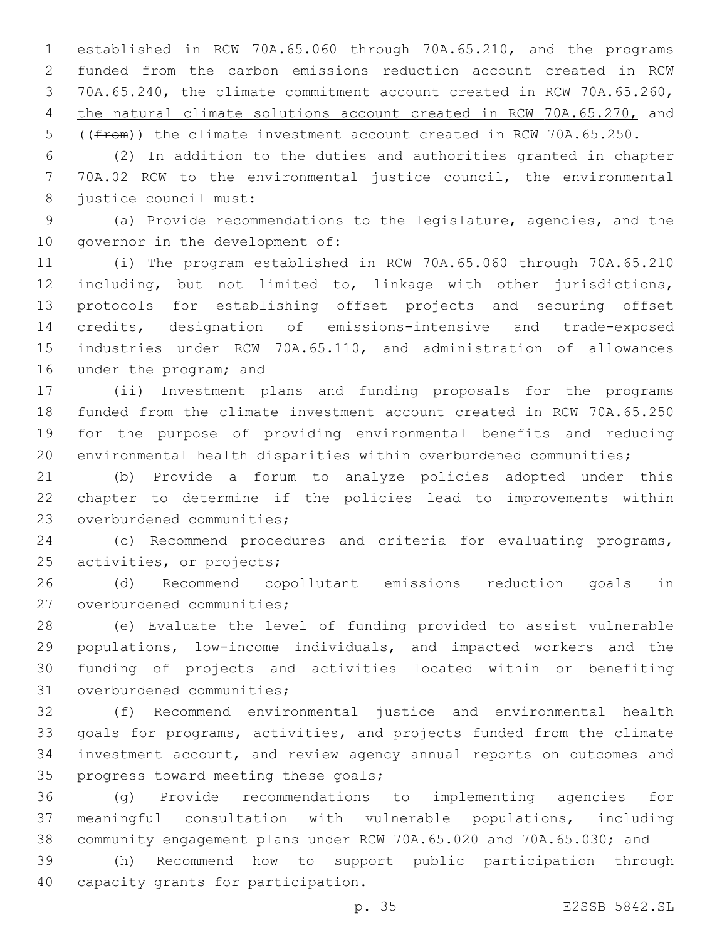established in RCW 70A.65.060 through 70A.65.210, and the programs funded from the carbon emissions reduction account created in RCW 70A.65.240, the climate commitment account created in RCW 70A.65.260, 4 the natural climate solutions account created in RCW 70A.65.270, and 5 ( $(f_{\text{from}})$ ) the climate investment account created in RCW 70A.65.250.

 (2) In addition to the duties and authorities granted in chapter 70A.02 RCW to the environmental justice council, the environmental 8 justice council must:

 (a) Provide recommendations to the legislature, agencies, and the 10 governor in the development of:

 (i) The program established in RCW 70A.65.060 through 70A.65.210 including, but not limited to, linkage with other jurisdictions, protocols for establishing offset projects and securing offset credits, designation of emissions-intensive and trade-exposed industries under RCW 70A.65.110, and administration of allowances 16 under the program; and

 (ii) Investment plans and funding proposals for the programs funded from the climate investment account created in RCW 70A.65.250 for the purpose of providing environmental benefits and reducing environmental health disparities within overburdened communities;

 (b) Provide a forum to analyze policies adopted under this chapter to determine if the policies lead to improvements within 23 overburdened communities;

 (c) Recommend procedures and criteria for evaluating programs, 25 activities, or projects;

 (d) Recommend copollutant emissions reduction goals in 27 overburdened communities;

 (e) Evaluate the level of funding provided to assist vulnerable populations, low-income individuals, and impacted workers and the funding of projects and activities located within or benefiting 31 overburdened communities;

 (f) Recommend environmental justice and environmental health goals for programs, activities, and projects funded from the climate investment account, and review agency annual reports on outcomes and 35 progress toward meeting these goals;

 (g) Provide recommendations to implementing agencies for meaningful consultation with vulnerable populations, including community engagement plans under RCW 70A.65.020 and 70A.65.030; and

 (h) Recommend how to support public participation through 40 capacity grants for participation.

p. 35 E2SSB 5842.SL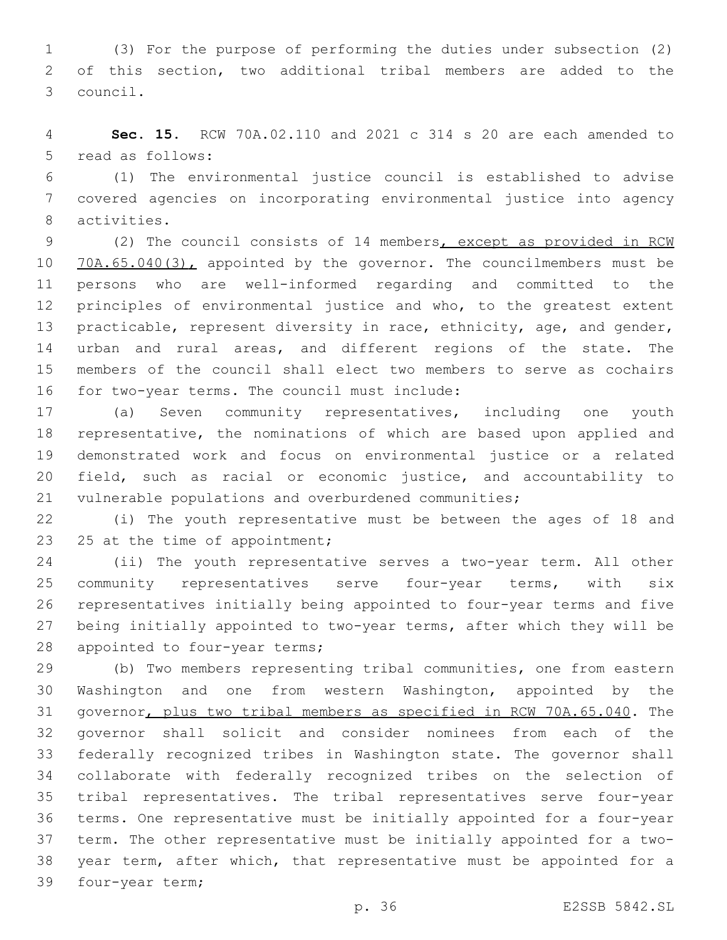(3) For the purpose of performing the duties under subsection (2) of this section, two additional tribal members are added to the council.3

 **Sec. 15.** RCW 70A.02.110 and 2021 c 314 s 20 are each amended to 5 read as follows:

 (1) The environmental justice council is established to advise covered agencies on incorporating environmental justice into agency activities.8

 (2) The council consists of 14 members, except as provided in RCW 10 70A.65.040(3), appointed by the governor. The councilmembers must be persons who are well-informed regarding and committed to the principles of environmental justice and who, to the greatest extent 13 practicable, represent diversity in race, ethnicity, age, and gender, urban and rural areas, and different regions of the state. The members of the council shall elect two members to serve as cochairs 16 for two-year terms. The council must include:

 (a) Seven community representatives, including one youth representative, the nominations of which are based upon applied and demonstrated work and focus on environmental justice or a related field, such as racial or economic justice, and accountability to vulnerable populations and overburdened communities;

 (i) The youth representative must be between the ages of 18 and 23 25 at the time of appointment;

 (ii) The youth representative serves a two-year term. All other community representatives serve four-year terms, with six representatives initially being appointed to four-year terms and five being initially appointed to two-year terms, after which they will be 28 appointed to four-year terms;

 (b) Two members representing tribal communities, one from eastern Washington and one from western Washington, appointed by the governor, plus two tribal members as specified in RCW 70A.65.040. The governor shall solicit and consider nominees from each of the federally recognized tribes in Washington state. The governor shall collaborate with federally recognized tribes on the selection of tribal representatives. The tribal representatives serve four-year terms. One representative must be initially appointed for a four-year term. The other representative must be initially appointed for a two- year term, after which, that representative must be appointed for a 39 four-year term;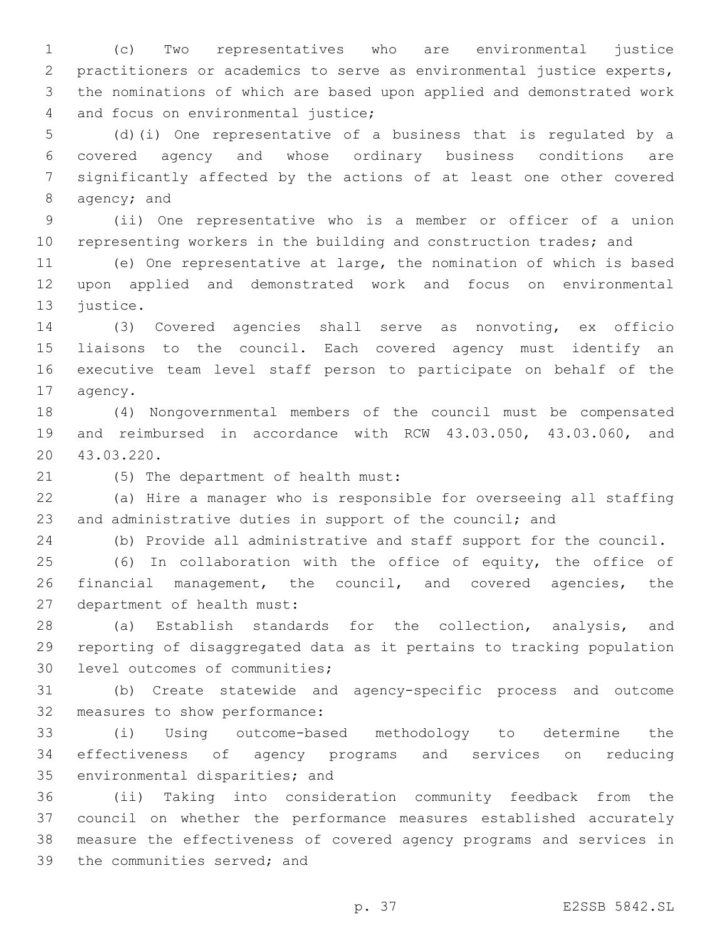(c) Two representatives who are environmental justice practitioners or academics to serve as environmental justice experts, the nominations of which are based upon applied and demonstrated work 4 and focus on environmental justice;

 (d)(i) One representative of a business that is regulated by a covered agency and whose ordinary business conditions are significantly affected by the actions of at least one other covered 8 agency; and

 (ii) One representative who is a member or officer of a union 10 representing workers in the building and construction trades; and

 (e) One representative at large, the nomination of which is based upon applied and demonstrated work and focus on environmental 13 justice.

 (3) Covered agencies shall serve as nonvoting, ex officio liaisons to the council. Each covered agency must identify an executive team level staff person to participate on behalf of the 17 agency.

 (4) Nongovernmental members of the council must be compensated and reimbursed in accordance with RCW 43.03.050, 43.03.060, and 43.03.220.20

21 (5) The department of health must:

 (a) Hire a manager who is responsible for overseeing all staffing and administrative duties in support of the council; and

(b) Provide all administrative and staff support for the council.

 (6) In collaboration with the office of equity, the office of financial management, the council, and covered agencies, the 27 department of health must:

 (a) Establish standards for the collection, analysis, and reporting of disaggregated data as it pertains to tracking population 30 level outcomes of communities;

 (b) Create statewide and agency-specific process and outcome 32 measures to show performance:

 (i) Using outcome-based methodology to determine the effectiveness of agency programs and services on reducing 35 environmental disparities; and

 (ii) Taking into consideration community feedback from the council on whether the performance measures established accurately measure the effectiveness of covered agency programs and services in 39 the communities served; and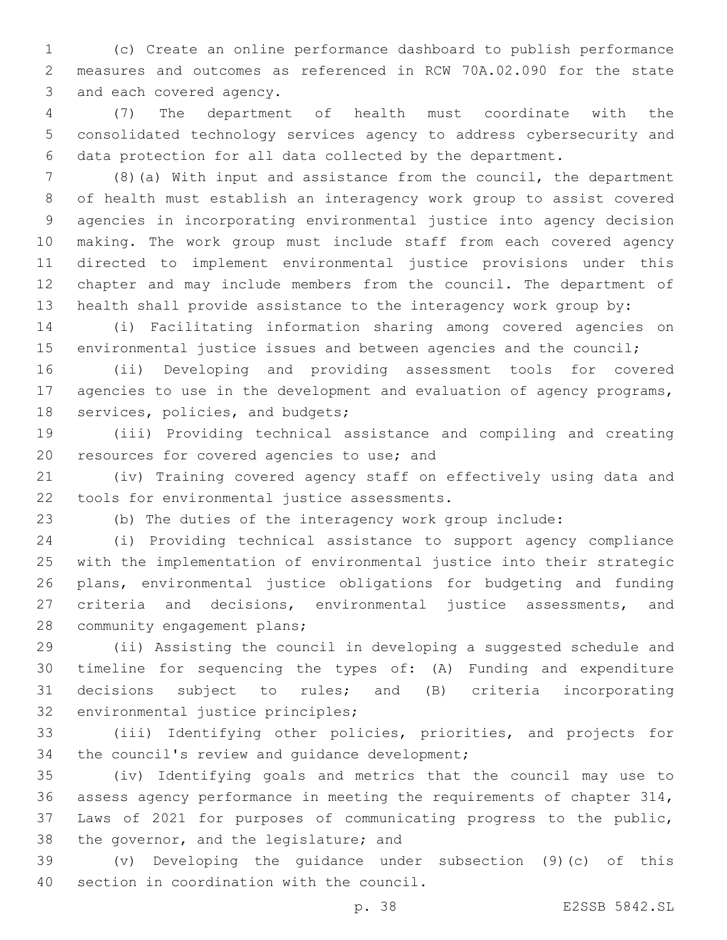(c) Create an online performance dashboard to publish performance measures and outcomes as referenced in RCW 70A.02.090 for the state 3 and each covered agency.

 (7) The department of health must coordinate with the consolidated technology services agency to address cybersecurity and data protection for all data collected by the department.

 (8)(a) With input and assistance from the council, the department of health must establish an interagency work group to assist covered agencies in incorporating environmental justice into agency decision making. The work group must include staff from each covered agency directed to implement environmental justice provisions under this chapter and may include members from the council. The department of health shall provide assistance to the interagency work group by:

 (i) Facilitating information sharing among covered agencies on 15 environmental justice issues and between agencies and the council;

 (ii) Developing and providing assessment tools for covered agencies to use in the development and evaluation of agency programs, 18 services, policies, and budgets;

 (iii) Providing technical assistance and compiling and creating 20 resources for covered agencies to use; and

 (iv) Training covered agency staff on effectively using data and 22 tools for environmental justice assessments.

(b) The duties of the interagency work group include:

 (i) Providing technical assistance to support agency compliance with the implementation of environmental justice into their strategic plans, environmental justice obligations for budgeting and funding criteria and decisions, environmental justice assessments, and 28 community engagement plans;

 (ii) Assisting the council in developing a suggested schedule and timeline for sequencing the types of: (A) Funding and expenditure decisions subject to rules; and (B) criteria incorporating 32 environmental justice principles;

 (iii) Identifying other policies, priorities, and projects for 34 the council's review and quidance development;

 (iv) Identifying goals and metrics that the council may use to assess agency performance in meeting the requirements of chapter 314, Laws of 2021 for purposes of communicating progress to the public, 38 the governor, and the legislature; and

 (v) Developing the guidance under subsection (9)(c) of this 40 section in coordination with the council.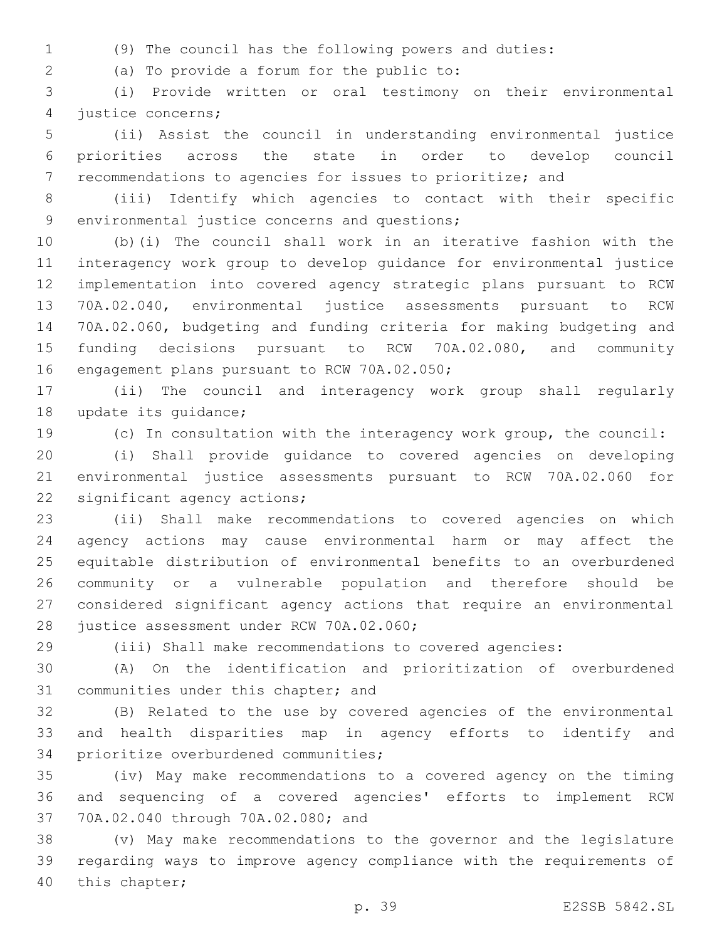(9) The council has the following powers and duties:

(a) To provide a forum for the public to:2

 (i) Provide written or oral testimony on their environmental 4 justice concerns;

 (ii) Assist the council in understanding environmental justice priorities across the state in order to develop council recommendations to agencies for issues to prioritize; and

 (iii) Identify which agencies to contact with their specific 9 environmental justice concerns and questions;

 (b)(i) The council shall work in an iterative fashion with the interagency work group to develop guidance for environmental justice implementation into covered agency strategic plans pursuant to RCW 70A.02.040, environmental justice assessments pursuant to RCW 70A.02.060, budgeting and funding criteria for making budgeting and funding decisions pursuant to RCW 70A.02.080, and community 16 engagement plans pursuant to RCW 70A.02.050;

 (ii) The council and interagency work group shall regularly 18 update its quidance;

(c) In consultation with the interagency work group, the council:

 (i) Shall provide guidance to covered agencies on developing environmental justice assessments pursuant to RCW 70A.02.060 for 22 significant agency actions;

 (ii) Shall make recommendations to covered agencies on which agency actions may cause environmental harm or may affect the equitable distribution of environmental benefits to an overburdened community or a vulnerable population and therefore should be considered significant agency actions that require an environmental 28 justice assessment under RCW 70A.02.060;

(iii) Shall make recommendations to covered agencies:

 (A) On the identification and prioritization of overburdened 31 communities under this chapter; and

 (B) Related to the use by covered agencies of the environmental and health disparities map in agency efforts to identify and 34 prioritize overburdened communities;

 (iv) May make recommendations to a covered agency on the timing and sequencing of a covered agencies' efforts to implement RCW 37 70A.02.040 through 70A.02.080; and

 (v) May make recommendations to the governor and the legislature regarding ways to improve agency compliance with the requirements of 40 this chapter;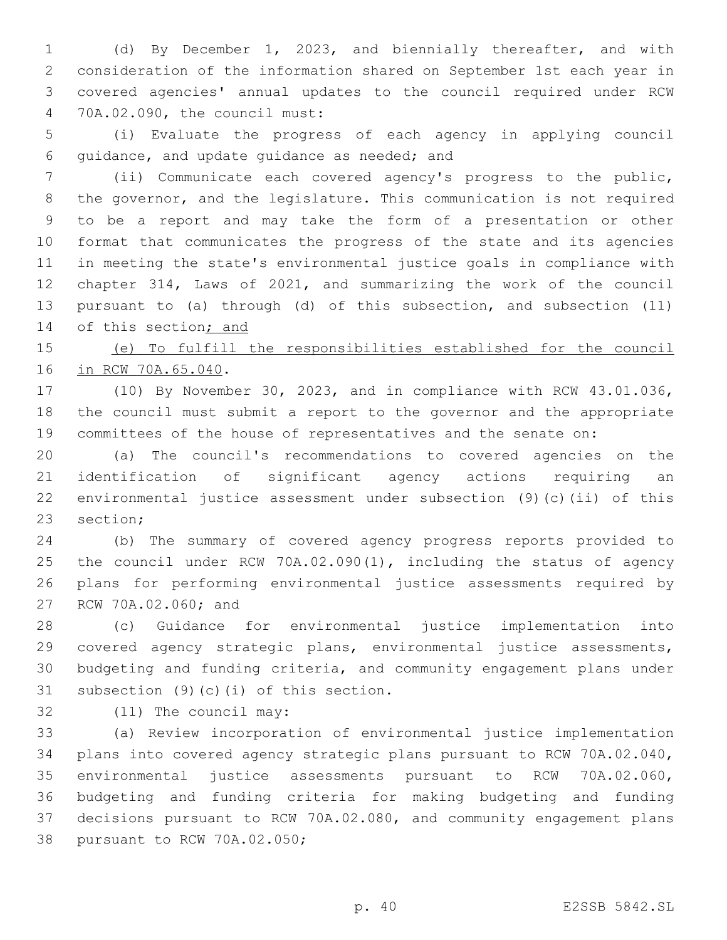(d) By December 1, 2023, and biennially thereafter, and with consideration of the information shared on September 1st each year in covered agencies' annual updates to the council required under RCW 70A.02.090, the council must:4

 (i) Evaluate the progress of each agency in applying council 6 guidance, and update guidance as needed; and

 (ii) Communicate each covered agency's progress to the public, the governor, and the legislature. This communication is not required to be a report and may take the form of a presentation or other format that communicates the progress of the state and its agencies in meeting the state's environmental justice goals in compliance with chapter 314, Laws of 2021, and summarizing the work of the council pursuant to (a) through (d) of this subsection, and subsection (11) 14 of this section; and

 (e) To fulfill the responsibilities established for the council 16 in RCW 70A.65.040.

 (10) By November 30, 2023, and in compliance with RCW 43.01.036, the council must submit a report to the governor and the appropriate committees of the house of representatives and the senate on:

 (a) The council's recommendations to covered agencies on the identification of significant agency actions requiring an environmental justice assessment under subsection (9)(c)(ii) of this 23 section;

 (b) The summary of covered agency progress reports provided to the council under RCW 70A.02.090(1), including the status of agency plans for performing environmental justice assessments required by 27 RCW 70A.02.060; and

 (c) Guidance for environmental justice implementation into covered agency strategic plans, environmental justice assessments, budgeting and funding criteria, and community engagement plans under 31 subsection  $(9)$  (c) (i) of this section.

32 (11) The council may:

 (a) Review incorporation of environmental justice implementation plans into covered agency strategic plans pursuant to RCW 70A.02.040, environmental justice assessments pursuant to RCW 70A.02.060, budgeting and funding criteria for making budgeting and funding decisions pursuant to RCW 70A.02.080, and community engagement plans 38 pursuant to RCW 70A.02.050;